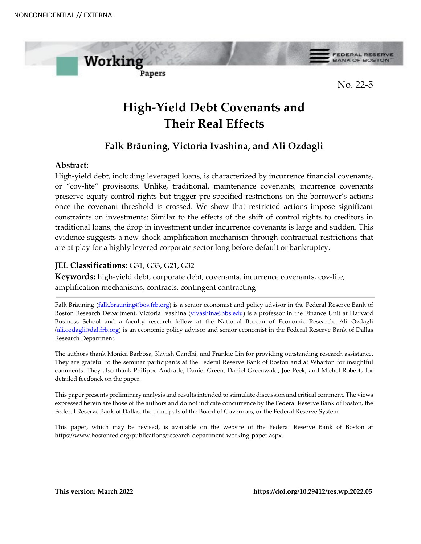

# **High-Yield Debt Covenants and Their Real Effects**

# **Falk Bräuning, Victoria Ivashina, and Ali Ozdagli**

# **Abstract:**

High-yield debt, including leveraged loans, is characterized by incurrence financial covenants, or "cov-lite" provisions. Unlike, traditional, maintenance covenants, incurrence covenants preserve equity control rights but trigger pre-specified restrictions on the borrower's actions once the covenant threshold is crossed. We show that restricted actions impose significant constraints on investments: Similar to the effects of the shift of control rights to creditors in traditional loans, the drop in investment under incurrence covenants is large and sudden. This evidence suggests a new shock amplification mechanism through contractual restrictions that are at play for a highly levered corporate sector long before default or bankruptcy.

# **JEL Classifications:** G31, G33, G21, G32

**Keywords:** high-yield debt, corporate debt, covenants, incurrence covenants, cov-lite, amplification mechanisms, contracts, contingent contracting

Falk Bräuning [\(falk.brauning@bos.frb.org\)](mailto:falk.brauning@bos.frb.org) is a senior economist and policy advisor in the Federal Reserve Bank of Boston Research Department. Victoria Ivashina [\(vivashina@hbs.edu\)](mailto:vivashina@hbs.edu) is a professor in the Finance Unit at Harvard Business School and a faculty research fellow at the National Bureau of Economic Research. Ali Ozdagli [\(ali.ozdagli@dal.frb.org\)](mailto:ali.ozdagli@dal.frb.org) is an economic policy advisor and senior economist in the Federal Reserve Bank of Dallas Research Department.

The authors thank Monica Barbosa, Kavish Gandhi, and Frankie Lin for providing outstanding research assistance. They are grateful to the seminar participants at the Federal Reserve Bank of Boston and at Wharton for insightful comments. They also thank Philippe Andrade, Daniel Green, Daniel Greenwald, Joe Peek, and Michel Roberts for detailed feedback on the paper.

This paper presents preliminary analysis and results intended to stimulate discussion and critical comment. The views expressed herein are those of the authors and do not indicate concurrence by the Federal Reserve Bank of Boston, the Federal Reserve Bank of Dallas, the principals of the Board of Governors, or the Federal Reserve System.

This paper, which may be revised, is available on the website of the Federal Reserve Bank of Boston at https://www.bostonfed.org/publications/research-department-working-paper.aspx.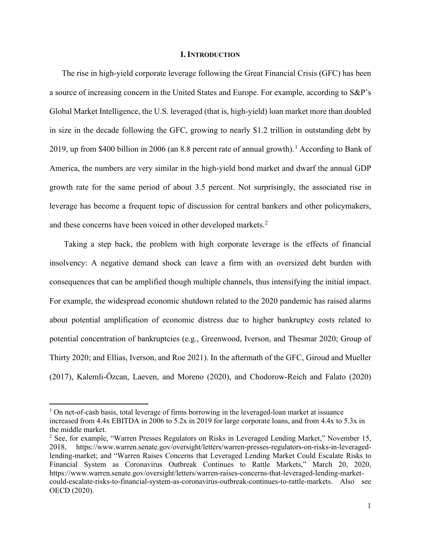#### **I. INTRODUCTION**

The rise in high-yield corporate leverage following the Great Financial Crisis (GFC) has been a source of increasing concern in the United States and Europe. For example, according to S&P's Global Market Intelligence, the U.S. leveraged (that is, high-yield) loan market more than doubled in size in the decade following the GFC, growing to nearly \$1.2 trillion in outstanding debt by 20[1](#page-1-0)9, up from \$400 billion in 2006 (an 8.8 percent rate of annual growth).<sup>1</sup> According to Bank of America, the numbers are very similar in the high-yield bond market and dwarf the annual GDP growth rate for the same period of about 3.5 percent. Not surprisingly, the associated rise in leverage has become a frequent topic of discussion for central bankers and other policymakers, and these concerns have been voiced in other developed markets.<sup>[2](#page-1-1)</sup>

Taking a step back, the problem with high corporate leverage is the effects of financial insolvency: A negative demand shock can leave a firm with an oversized debt burden with consequences that can be amplified though multiple channels, thus intensifying the initial impact. For example, the widespread economic shutdown related to the 2020 pandemic has raised alarms about potential amplification of economic distress due to higher bankruptcy costs related to potential concentration of bankruptcies (e.g., Greenwood, Iverson, and Thesmar 2020; Group of Thirty 2020; and Ellias, Iverson, and Roe 2021). In the aftermath of the GFC, Giroud and Mueller (2017), Kalemli-Ӧzcan, Laeven, and Moreno (2020), and Chodorow-Reich and Falato (2020)

<span id="page-1-0"></span> $<sup>1</sup>$  On net-of-cash basis, total leverage of firms borrowing in the leveraged-loan market at issuance</sup> increased from 4.4x EBITDA in 2006 to 5.2x in 2019 for large corporate loans, and from 4.4x to 5.3x in the middle market.

<span id="page-1-1"></span><sup>&</sup>lt;sup>2</sup> See, for example, "Warren Presses Regulators on Risks in Leveraged Lending Market," November 15, 2018, [https://www.warren.senate.gov/oversight/letters/warren-presses-regulators-on-risks-in-leveraged](https://www.warren.senate.gov/oversight/letters/warren-presses-regulators-on-risks-in-leveraged-lending-market-)[lending-market;](https://www.warren.senate.gov/oversight/letters/warren-presses-regulators-on-risks-in-leveraged-lending-market-) and "Warren Raises Concerns that Leveraged Lending Market Could Escalate Risks to Financial System as Coronavirus Outbreak Continues to Rattle Markets," March 20, 2020, [https://www.warren.senate.gov/oversight/letters/warren-raises-concerns-that-leveraged-lending-market](https://www.warren.senate.gov/oversight/letters/warren-raises-concerns-that-leveraged-lending-market-could-escalate-risks-to-financial-system-as-coronavirus-outbreak-continues-to-rattle-markets)[could-escalate-risks-to-financial-system-as-coronavirus-outbreak-continues-to-rattle-markets.](https://www.warren.senate.gov/oversight/letters/warren-raises-concerns-that-leveraged-lending-market-could-escalate-risks-to-financial-system-as-coronavirus-outbreak-continues-to-rattle-markets) Also see OECD (2020).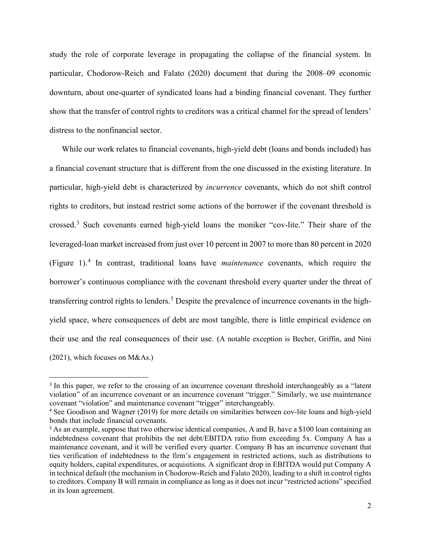study the role of corporate leverage in propagating the collapse of the financial system. In particular, Chodorow-Reich and Falato (2020) document that during the 2008–09 economic downturn, about one-quarter of syndicated loans had a binding financial covenant. They further show that the transfer of control rights to creditors was a critical channel for the spread of lenders' distress to the nonfinancial sector.

While our work relates to financial covenants, high-yield debt (loans and bonds included) has a financial covenant structure that is different from the one discussed in the existing literature. In particular, high-yield debt is characterized by *incurrence* covenants, which do not shift control rights to creditors, but instead restrict some actions of the borrower if the covenant threshold is crossed. [3](#page-2-0) Such covenants earned high-yield loans the moniker "cov-lite." Their share of the leveraged-loan market increased from just over 10 percent in 2007 to more than 80 percent in 2020 (Figure 1).[4](#page-2-1) In contrast, traditional loans have *maintenance* covenants, which require the borrower's continuous compliance with the covenant threshold every quarter under the threat of transferring control rights to lenders.<sup>[5](#page-2-2)</sup> Despite the prevalence of incurrence covenants in the highyield space, where consequences of debt are most tangible, there is little empirical evidence on their use and the real consequences of their use. (A notable exception is Becher, Griffin, and Nini (2021), which focuses on M&As.)

<span id="page-2-0"></span><sup>&</sup>lt;sup>3</sup> In this paper, we refer to the crossing of an incurrence covenant threshold interchangeably as a "latent" violation" of an incurrence covenant or an incurrence covenant "trigger." Similarly, we use maintenance covenant "violation" and maintenance covenant "trigger" interchangeably.

<span id="page-2-1"></span><sup>4</sup> See Goodison and Wagner (2019) for more details on similarities between cov-lite loans and high-yield bonds that include financial covenants.

<span id="page-2-2"></span><sup>&</sup>lt;sup>5</sup> As an example, suppose that two otherwise identical companies, A and B, have a \$100 loan containing an indebtedness covenant that prohibits the net debt/EBITDA ratio from exceeding 5x. Company A has a maintenance covenant, and it will be verified every quarter. Company B has an incurrence covenant that ties verification of indebtedness to the firm's engagement in restricted actions, such as distributions to equity holders, capital expenditures, or acquisitions. A significant drop in EBITDA would put Company A in technical default (the mechanism in Chodorow-Reich and Falato 2020), leading to a shift in control rights to creditors. Company B will remain in compliance as long as it does not incur "restricted actions" specified in its loan agreement.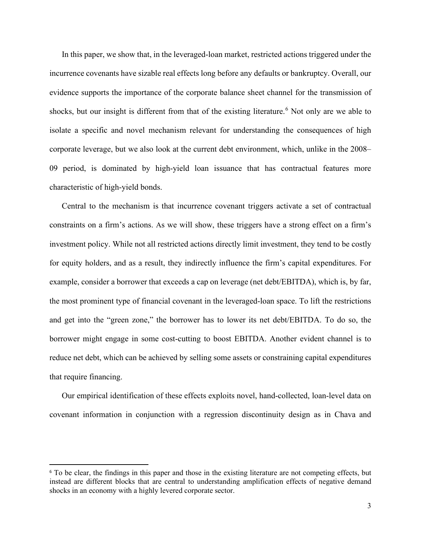In this paper, we show that, in the leveraged-loan market, restricted actions triggered under the incurrence covenants have sizable real effects long before any defaults or bankruptcy. Overall, our evidence supports the importance of the corporate balance sheet channel for the transmission of shocks, but our insight is different from that of the existing literature. [6](#page-3-0) Not only are we able to isolate a specific and novel mechanism relevant for understanding the consequences of high corporate leverage, but we also look at the current debt environment, which, unlike in the 2008– 09 period, is dominated by high-yield loan issuance that has contractual features more characteristic of high-yield bonds.

Central to the mechanism is that incurrence covenant triggers activate a set of contractual constraints on a firm's actions. As we will show, these triggers have a strong effect on a firm's investment policy. While not all restricted actions directly limit investment, they tend to be costly for equity holders, and as a result, they indirectly influence the firm's capital expenditures. For example, consider a borrower that exceeds a cap on leverage (net debt/EBITDA), which is, by far, the most prominent type of financial covenant in the leveraged-loan space. To lift the restrictions and get into the "green zone," the borrower has to lower its net debt/EBITDA. To do so, the borrower might engage in some cost-cutting to boost EBITDA. Another evident channel is to reduce net debt, which can be achieved by selling some assets or constraining capital expenditures that require financing.

Our empirical identification of these effects exploits novel, hand-collected, loan-level data on covenant information in conjunction with a regression discontinuity design as in Chava and

<span id="page-3-0"></span><sup>6</sup> To be clear, the findings in this paper and those in the existing literature are not competing effects, but instead are different blocks that are central to understanding amplification effects of negative demand shocks in an economy with a highly levered corporate sector.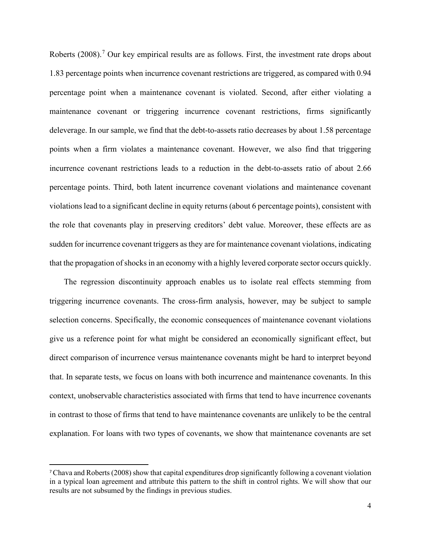Roberts (2008).<sup>[7](#page-4-0)</sup> Our key empirical results are as follows. First, the investment rate drops about 1.83 percentage points when incurrence covenant restrictions are triggered, as compared with 0.94 percentage point when a maintenance covenant is violated. Second, after either violating a maintenance covenant or triggering incurrence covenant restrictions, firms significantly deleverage. In our sample, we find that the debt-to-assets ratio decreases by about 1.58 percentage points when a firm violates a maintenance covenant. However, we also find that triggering incurrence covenant restrictions leads to a reduction in the debt-to-assets ratio of about 2.66 percentage points. Third, both latent incurrence covenant violations and maintenance covenant violations lead to a significant decline in equity returns (about 6 percentage points), consistent with the role that covenants play in preserving creditors' debt value. Moreover, these effects are as sudden for incurrence covenant triggers as they are for maintenance covenant violations, indicating that the propagation of shocks in an economy with a highly levered corporate sector occurs quickly.

The regression discontinuity approach enables us to isolate real effects stemming from triggering incurrence covenants. The cross-firm analysis, however, may be subject to sample selection concerns. Specifically, the economic consequences of maintenance covenant violations give us a reference point for what might be considered an economically significant effect, but direct comparison of incurrence versus maintenance covenants might be hard to interpret beyond that. In separate tests, we focus on loans with both incurrence and maintenance covenants. In this context, unobservable characteristics associated with firms that tend to have incurrence covenants in contrast to those of firms that tend to have maintenance covenants are unlikely to be the central explanation. For loans with two types of covenants, we show that maintenance covenants are set

<span id="page-4-0"></span><sup>7</sup>Chava and Roberts (2008) show that capital expenditures drop significantly following a covenant violation in a typical loan agreement and attribute this pattern to the shift in control rights. We will show that our results are not subsumed by the findings in previous studies.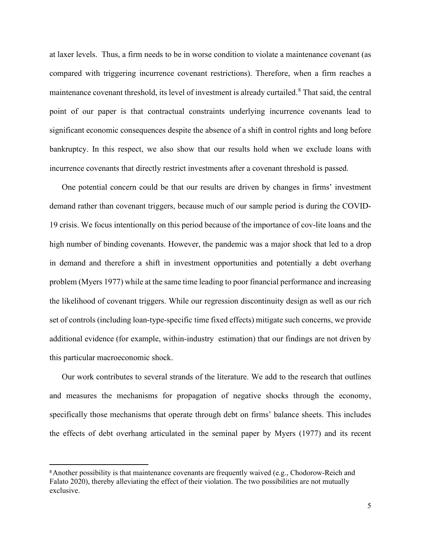at laxer levels. Thus, a firm needs to be in worse condition to violate a maintenance covenant (as compared with triggering incurrence covenant restrictions). Therefore, when a firm reaches a maintenance covenant threshold, its level of investment is already curtailed. [8](#page-5-0) That said, the central point of our paper is that contractual constraints underlying incurrence covenants lead to significant economic consequences despite the absence of a shift in control rights and long before bankruptcy. In this respect, we also show that our results hold when we exclude loans with incurrence covenants that directly restrict investments after a covenant threshold is passed.

One potential concern could be that our results are driven by changes in firms' investment demand rather than covenant triggers, because much of our sample period is during the COVID-19 crisis. We focus intentionally on this period because of the importance of cov-lite loans and the high number of binding covenants. However, the pandemic was a major shock that led to a drop in demand and therefore a shift in investment opportunities and potentially a debt overhang problem (Myers 1977) while at the same time leading to poor financial performance and increasing the likelihood of covenant triggers. While our regression discontinuity design as well as our rich set of controls (including loan-type-specific time fixed effects) mitigate such concerns, we provide additional evidence (for example, within-industry estimation) that our findings are not driven by this particular macroeconomic shock.

Our work contributes to several strands of the literature. We add to the research that outlines and measures the mechanisms for propagation of negative shocks through the economy, specifically those mechanisms that operate through debt on firms' balance sheets. This includes the effects of debt overhang articulated in the seminal paper by Myers (1977) and its recent

<span id="page-5-0"></span><sup>&</sup>lt;sup>8</sup> Another possibility is that maintenance covenants are frequently waived (e.g., Chodorow-Reich and Falato 2020), thereby alleviating the effect of their violation. The two possibilities are not mutually exclusive.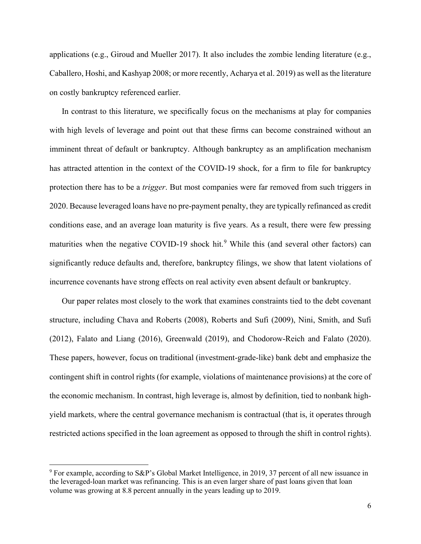applications (e.g., Giroud and Mueller 2017). It also includes the zombie lending literature (e.g., Caballero, Hoshi, and Kashyap 2008; or more recently, Acharya et al. 2019) as well as the literature on costly bankruptcy referenced earlier.

In contrast to this literature, we specifically focus on the mechanisms at play for companies with high levels of leverage and point out that these firms can become constrained without an imminent threat of default or bankruptcy. Although bankruptcy as an amplification mechanism has attracted attention in the context of the COVID-19 shock, for a firm to file for bankruptcy protection there has to be a *trigger*. But most companies were far removed from such triggers in 2020. Because leveraged loans have no pre-payment penalty, they are typically refinanced as credit conditions ease, and an average loan maturity is five years. As a result, there were few pressing maturities when the negative COVID-1[9](#page-6-0) shock hit.<sup>9</sup> While this (and several other factors) can significantly reduce defaults and, therefore, bankruptcy filings, we show that latent violations of incurrence covenants have strong effects on real activity even absent default or bankruptcy.

Our paper relates most closely to the work that examines constraints tied to the debt covenant structure, including Chava and Roberts (2008), Roberts and Sufi (2009), Nini, Smith, and Sufi (2012), Falato and Liang (2016), Greenwald (2019), and Chodorow-Reich and Falato (2020). These papers, however, focus on traditional (investment-grade-like) bank debt and emphasize the contingent shift in control rights (for example, violations of maintenance provisions) at the core of the economic mechanism. In contrast, high leverage is, almost by definition, tied to nonbank highyield markets, where the central governance mechanism is contractual (that is, it operates through restricted actions specified in the loan agreement as opposed to through the shift in control rights).

<span id="page-6-0"></span><sup>&</sup>lt;sup>9</sup> For example, according to S&P's Global Market Intelligence, in 2019, 37 percent of all new issuance in the leveraged-loan market was refinancing. This is an even larger share of past loans given that loan volume was growing at 8.8 percent annually in the years leading up to 2019.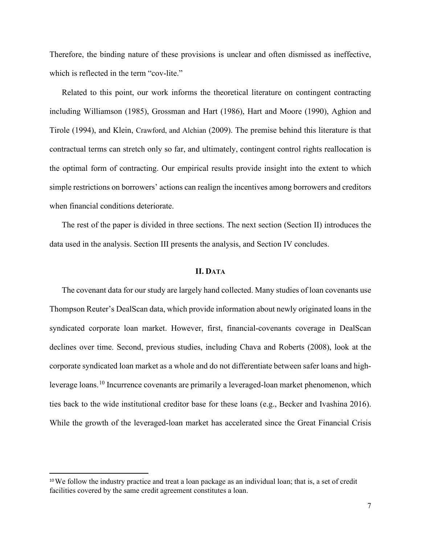Therefore, the binding nature of these provisions is unclear and often dismissed as ineffective, which is reflected in the term "cov-lite."

Related to this point, our work informs the theoretical literature on contingent contracting including Williamson (1985), Grossman and Hart (1986), Hart and Moore (1990), Aghion and Tirole (1994), and Klein, Crawford, and Alchian (2009). The premise behind this literature is that contractual terms can stretch only so far, and ultimately, contingent control rights reallocation is the optimal form of contracting. Our empirical results provide insight into the extent to which simple restrictions on borrowers' actions can realign the incentives among borrowers and creditors when financial conditions deteriorate.

The rest of the paper is divided in three sections. The next section (Section II) introduces the data used in the analysis. Section III presents the analysis, and Section IV concludes.

#### **II. DATA**

The covenant data for our study are largely hand collected. Many studies of loan covenants use Thompson Reuter's DealScan data, which provide information about newly originated loans in the syndicated corporate loan market. However, first, financial-covenants coverage in DealScan declines over time. Second, previous studies, including Chava and Roberts (2008), look at the corporate syndicated loan market as a whole and do not differentiate between safer loans and high-leverage loans.<sup>[10](#page-7-0)</sup> Incurrence covenants are primarily a leveraged-loan market phenomenon, which ties back to the wide institutional creditor base for these loans (e.g., Becker and Ivashina 2016). While the growth of the leveraged-loan market has accelerated since the Great Financial Crisis

<span id="page-7-0"></span><sup>&</sup>lt;sup>10</sup>We follow the industry practice and treat a loan package as an individual loan; that is, a set of credit facilities covered by the same credit agreement constitutes a loan.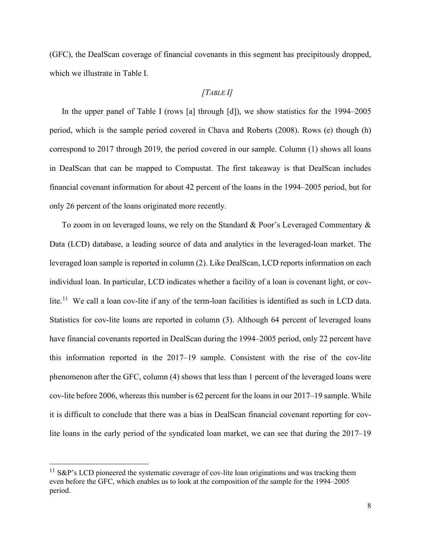(GFC), the DealScan coverage of financial covenants in this segment has precipitously dropped, which we illustrate in Table I.

# *[TABLE I]*

In the upper panel of Table I (rows [a] through [d]), we show statistics for the 1994–2005 period, which is the sample period covered in Chava and Roberts (2008). Rows (e) though (h) correspond to 2017 through 2019, the period covered in our sample. Column (1) shows all loans in DealScan that can be mapped to Compustat. The first takeaway is that DealScan includes financial covenant information for about 42 percent of the loans in the 1994–2005 period, but for only 26 percent of the loans originated more recently.

To zoom in on leveraged loans, we rely on the Standard & Poor's Leveraged Commentary & Data (LCD) database, a leading source of data and analytics in the leveraged-loan market. The leveraged loan sample is reported in column (2). Like DealScan, LCD reports information on each individual loan. In particular, LCD indicates whether a facility of a loan is covenant light, or cov-lite.<sup>[11](#page-8-0)</sup> We call a loan cov-lite if any of the term-loan facilities is identified as such in LCD data. Statistics for cov-lite loans are reported in column (3). Although 64 percent of leveraged loans have financial covenants reported in DealScan during the 1994–2005 period, only 22 percent have this information reported in the 2017–19 sample. Consistent with the rise of the cov-lite phenomenon after the GFC, column (4) shows that less than 1 percent of the leveraged loans were cov-lite before 2006, whereas this number is 62 percent for the loans in our 2017–19 sample. While it is difficult to conclude that there was a bias in DealScan financial covenant reporting for covlite loans in the early period of the syndicated loan market, we can see that during the 2017–19

<span id="page-8-0"></span> $11$  S&P's LCD pioneered the systematic coverage of cov-lite loan originations and was tracking them even before the GFC, which enables us to look at the composition of the sample for the 1994–2005 period.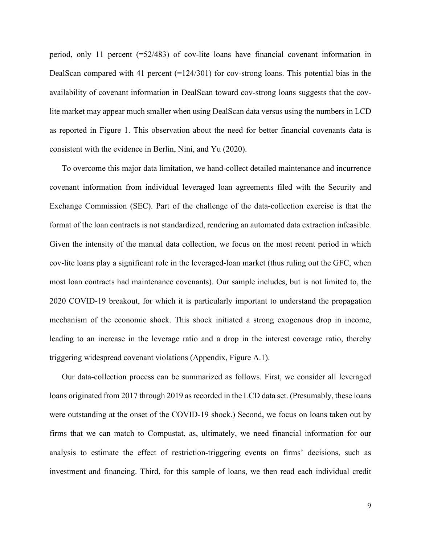period, only 11 percent (=52/483) of cov-lite loans have financial covenant information in DealScan compared with 41 percent  $(=124/301)$  for cov-strong loans. This potential bias in the availability of covenant information in DealScan toward cov-strong loans suggests that the covlite market may appear much smaller when using DealScan data versus using the numbers in LCD as reported in Figure 1. This observation about the need for better financial covenants data is consistent with the evidence in Berlin, Nini, and Yu (2020).

To overcome this major data limitation, we hand-collect detailed maintenance and incurrence covenant information from individual leveraged loan agreements filed with the Security and Exchange Commission (SEC). Part of the challenge of the data-collection exercise is that the format of the loan contracts is not standardized, rendering an automated data extraction infeasible. Given the intensity of the manual data collection, we focus on the most recent period in which cov-lite loans play a significant role in the leveraged-loan market (thus ruling out the GFC, when most loan contracts had maintenance covenants). Our sample includes, but is not limited to, the 2020 COVID-19 breakout, for which it is particularly important to understand the propagation mechanism of the economic shock. This shock initiated a strong exogenous drop in income, leading to an increase in the leverage ratio and a drop in the interest coverage ratio, thereby triggering widespread covenant violations (Appendix, Figure A.1).

Our data-collection process can be summarized as follows. First, we consider all leveraged loans originated from 2017 through 2019 as recorded in the LCD data set. (Presumably, these loans were outstanding at the onset of the COVID-19 shock.) Second, we focus on loans taken out by firms that we can match to Compustat, as, ultimately, we need financial information for our analysis to estimate the effect of restriction-triggering events on firms' decisions, such as investment and financing. Third, for this sample of loans, we then read each individual credit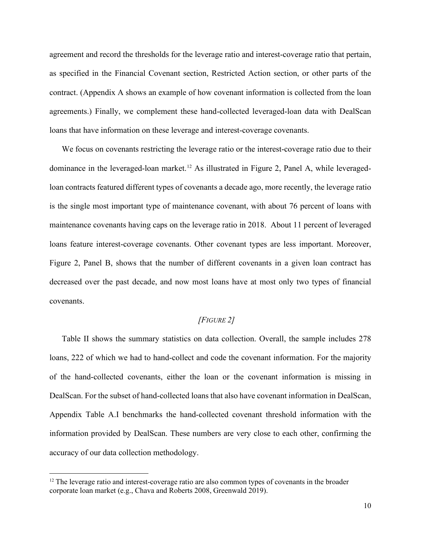agreement and record the thresholds for the leverage ratio and interest-coverage ratio that pertain, as specified in the Financial Covenant section, Restricted Action section, or other parts of the contract. (Appendix A shows an example of how covenant information is collected from the loan agreements.) Finally, we complement these hand-collected leveraged-loan data with DealScan loans that have information on these leverage and interest-coverage covenants.

We focus on covenants restricting the leverage ratio or the interest-coverage ratio due to their dominance in the leveraged-loan market.<sup>[12](#page-10-0)</sup> As illustrated in Figure 2, Panel A, while leveragedloan contracts featured different types of covenants a decade ago, more recently, the leverage ratio is the single most important type of maintenance covenant, with about 76 percent of loans with maintenance covenants having caps on the leverage ratio in 2018. About 11 percent of leveraged loans feature interest-coverage covenants. Other covenant types are less important. Moreover, Figure 2, Panel B, shows that the number of different covenants in a given loan contract has decreased over the past decade, and now most loans have at most only two types of financial covenants.

# *[FIGURE 2]*

Table II shows the summary statistics on data collection. Overall, the sample includes 278 loans, 222 of which we had to hand-collect and code the covenant information. For the majority of the hand-collected covenants, either the loan or the covenant information is missing in DealScan. For the subset of hand-collected loans that also have covenant information in DealScan, Appendix Table A.I benchmarks the hand-collected covenant threshold information with the information provided by DealScan. These numbers are very close to each other, confirming the accuracy of our data collection methodology.

<span id="page-10-0"></span> $12$  The leverage ratio and interest-coverage ratio are also common types of covenants in the broader corporate loan market (e.g., Chava and Roberts 2008, Greenwald 2019).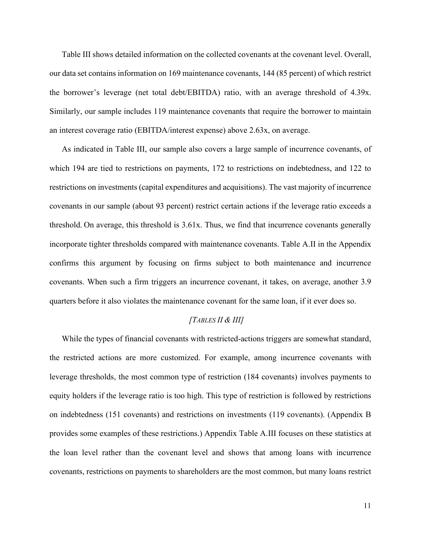Table III shows detailed information on the collected covenants at the covenant level. Overall, our data set contains information on 169 maintenance covenants, 144 (85 percent) of which restrict the borrower's leverage (net total debt/EBITDA) ratio, with an average threshold of 4.39x. Similarly, our sample includes 119 maintenance covenants that require the borrower to maintain an interest coverage ratio (EBITDA/interest expense) above 2.63x, on average.

As indicated in Table III, our sample also covers a large sample of incurrence covenants, of which 194 are tied to restrictions on payments, 172 to restrictions on indebtedness, and 122 to restrictions on investments (capital expenditures and acquisitions). The vast majority of incurrence covenants in our sample (about 93 percent) restrict certain actions if the leverage ratio exceeds a threshold. On average, this threshold is 3.61x. Thus, we find that incurrence covenants generally incorporate tighter thresholds compared with maintenance covenants. Table A.II in the Appendix confirms this argument by focusing on firms subject to both maintenance and incurrence covenants. When such a firm triggers an incurrence covenant, it takes, on average, another 3.9 quarters before it also violates the maintenance covenant for the same loan, if it ever does so.

## *[TABLES II & III]*

While the types of financial covenants with restricted-actions triggers are somewhat standard, the restricted actions are more customized. For example, among incurrence covenants with leverage thresholds, the most common type of restriction (184 covenants) involves payments to equity holders if the leverage ratio is too high. This type of restriction is followed by restrictions on indebtedness (151 covenants) and restrictions on investments (119 covenants). (Appendix B provides some examples of these restrictions.) Appendix Table A.III focuses on these statistics at the loan level rather than the covenant level and shows that among loans with incurrence covenants, restrictions on payments to shareholders are the most common, but many loans restrict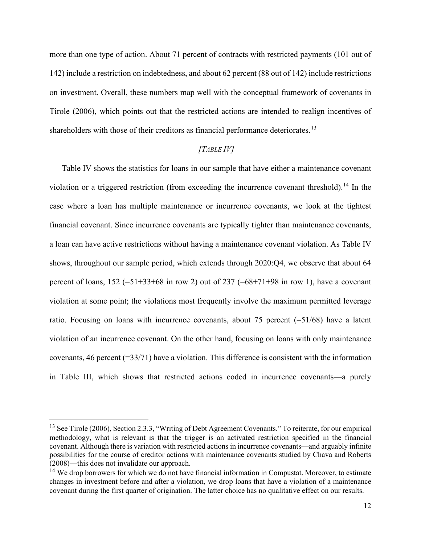more than one type of action. About 71 percent of contracts with restricted payments (101 out of 142) include a restriction on indebtedness, and about 62 percent (88 out of 142) include restrictions on investment. Overall, these numbers map well with the conceptual framework of covenants in Tirole (2006), which points out that the restricted actions are intended to realign incentives of shareholders with those of their creditors as financial performance deteriorates.<sup>13</sup>

# *[TABLE IV]*

Table IV shows the statistics for loans in our sample that have either a maintenance covenant violation or a triggered restriction (from exceeding the incurrence covenant threshold). [14](#page-12-1) In the case where a loan has multiple maintenance or incurrence covenants, we look at the tightest financial covenant. Since incurrence covenants are typically tighter than maintenance covenants, a loan can have active restrictions without having a maintenance covenant violation. As Table IV shows, throughout our sample period, which extends through 2020:Q4, we observe that about 64 percent of loans,  $152 (=51+33+68)$  in row 2) out of  $237 (=68+71+98)$  in row 1), have a covenant violation at some point; the violations most frequently involve the maximum permitted leverage ratio. Focusing on loans with incurrence covenants, about 75 percent (=51/68) have a latent violation of an incurrence covenant. On the other hand, focusing on loans with only maintenance covenants, 46 percent  $(=33/71)$  have a violation. This difference is consistent with the information in Table III, which shows that restricted actions coded in incurrence covenants—a purely

<span id="page-12-0"></span><sup>&</sup>lt;sup>13</sup> See Tirole (2006), Section 2.3.3, "Writing of Debt Agreement Covenants." To reiterate, for our empirical methodology, what is relevant is that the trigger is an activated restriction specified in the financial covenant. Although there is variation with restricted actions in incurrence covenants—and arguably infinite possibilities for the course of creditor actions with maintenance covenants studied by Chava and Roberts (2008)—this does not invalidate our approach.

<span id="page-12-1"></span><sup>&</sup>lt;sup>14</sup> We drop borrowers for which we do not have financial information in Compustat. Moreover, to estimate changes in investment before and after a violation, we drop loans that have a violation of a maintenance covenant during the first quarter of origination. The latter choice has no qualitative effect on our results.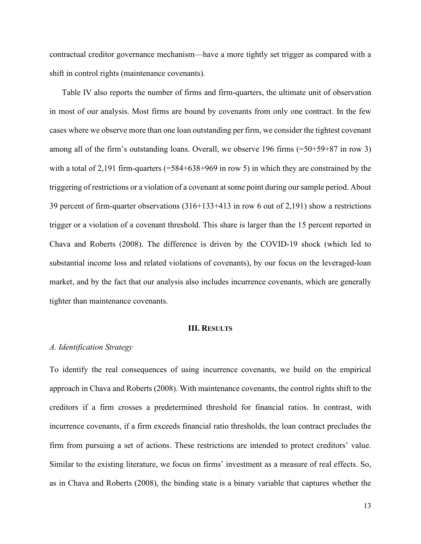contractual creditor governance mechanism—have a more tightly set trigger as compared with a shift in control rights (maintenance covenants).

Table IV also reports the number of firms and firm-quarters, the ultimate unit of observation in most of our analysis. Most firms are bound by covenants from only one contract. In the few cases where we observe more than one loan outstanding per firm, we consider the tightest covenant among all of the firm's outstanding loans. Overall, we observe 196 firms (=50+59+87 in row 3) with a total of 2,191 firm-quarters (=584+638+969 in row 5) in which they are constrained by the triggering of restrictions or a violation of a covenant at some point during our sample period. About 39 percent of firm-quarter observations (316+133+413 in row 6 out of 2,191) show a restrictions trigger or a violation of a covenant threshold. This share is larger than the 15 percent reported in Chava and Roberts (2008). The difference is driven by the COVID-19 shock (which led to substantial income loss and related violations of covenants), by our focus on the leveraged-loan market, and by the fact that our analysis also includes incurrence covenants, which are generally tighter than maintenance covenants.

#### **III. RESULTS**

#### *A. Identification Strategy*

To identify the real consequences of using incurrence covenants, we build on the empirical approach in Chava and Roberts (2008). With maintenance covenants, the control rights shift to the creditors if a firm crosses a predetermined threshold for financial ratios. In contrast, with incurrence covenants, if a firm exceeds financial ratio thresholds, the loan contract precludes the firm from pursuing a set of actions. These restrictions are intended to protect creditors' value. Similar to the existing literature, we focus on firms' investment as a measure of real effects. So, as in Chava and Roberts (2008), the binding state is a binary variable that captures whether the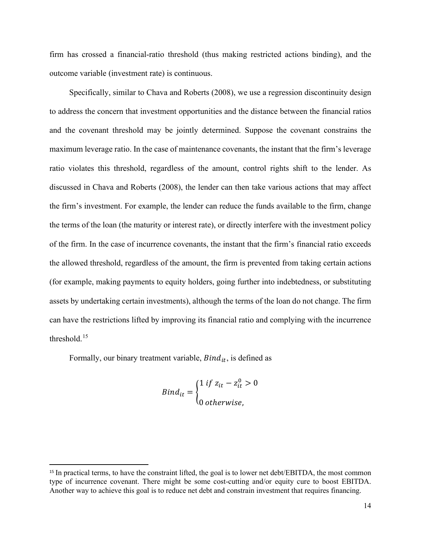firm has crossed a financial-ratio threshold (thus making restricted actions binding), and the outcome variable (investment rate) is continuous.

Specifically, similar to Chava and Roberts (2008), we use a regression discontinuity design to address the concern that investment opportunities and the distance between the financial ratios and the covenant threshold may be jointly determined. Suppose the covenant constrains the maximum leverage ratio. In the case of maintenance covenants, the instant that the firm's leverage ratio violates this threshold, regardless of the amount, control rights shift to the lender. As discussed in Chava and Roberts (2008), the lender can then take various actions that may affect the firm's investment. For example, the lender can reduce the funds available to the firm, change the terms of the loan (the maturity or interest rate), or directly interfere with the investment policy of the firm. In the case of incurrence covenants, the instant that the firm's financial ratio exceeds the allowed threshold, regardless of the amount, the firm is prevented from taking certain actions (for example, making payments to equity holders, going further into indebtedness, or substituting assets by undertaking certain investments), although the terms of the loan do not change. The firm can have the restrictions lifted by improving its financial ratio and complying with the incurrence threshold.[15](#page-14-0)

Formally, our binary treatment variable,  $Bind_{it}$ , is defined as

$$
Bind_{it} = \begin{cases} 1 \text{ if } z_{it} - z_{it}^{0} > 0 \\ 0 \text{ otherwise,} \end{cases}
$$

<span id="page-14-0"></span><sup>&</sup>lt;sup>15</sup> In practical terms, to have the constraint lifted, the goal is to lower net debt/EBITDA, the most common type of incurrence covenant. There might be some cost-cutting and/or equity cure to boost EBITDA. Another way to achieve this goal is to reduce net debt and constrain investment that requires financing.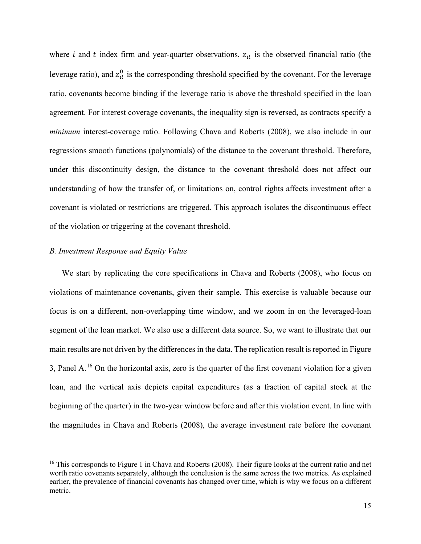where  $i$  and  $t$  index firm and year-quarter observations,  $z_{it}$  is the observed financial ratio (the leverage ratio), and  $z_{it}^0$  is the corresponding threshold specified by the covenant. For the leverage ratio, covenants become binding if the leverage ratio is above the threshold specified in the loan agreement. For interest coverage covenants, the inequality sign is reversed, as contracts specify a *minimum* interest-coverage ratio. Following Chava and Roberts (2008), we also include in our regressions smooth functions (polynomials) of the distance to the covenant threshold. Therefore, under this discontinuity design, the distance to the covenant threshold does not affect our understanding of how the transfer of, or limitations on, control rights affects investment after a covenant is violated or restrictions are triggered. This approach isolates the discontinuous effect of the violation or triggering at the covenant threshold.

## *B. Investment Response and Equity Value*

We start by replicating the core specifications in Chava and Roberts (2008), who focus on violations of maintenance covenants, given their sample. This exercise is valuable because our focus is on a different, non-overlapping time window, and we zoom in on the leveraged-loan segment of the loan market. We also use a different data source. So, we want to illustrate that our main results are not driven by the differences in the data. The replication result is reported in Figure 3, Panel A.<sup>[16](#page-15-0)</sup> On the horizontal axis, zero is the quarter of the first covenant violation for a given loan, and the vertical axis depicts capital expenditures (as a fraction of capital stock at the beginning of the quarter) in the two-year window before and after this violation event. In line with the magnitudes in Chava and Roberts (2008), the average investment rate before the covenant

<span id="page-15-0"></span><sup>&</sup>lt;sup>16</sup> This corresponds to Figure 1 in Chava and Roberts (2008). Their figure looks at the current ratio and net worth ratio covenants separately, although the conclusion is the same across the two metrics. As explained earlier, the prevalence of financial covenants has changed over time, which is why we focus on a different metric.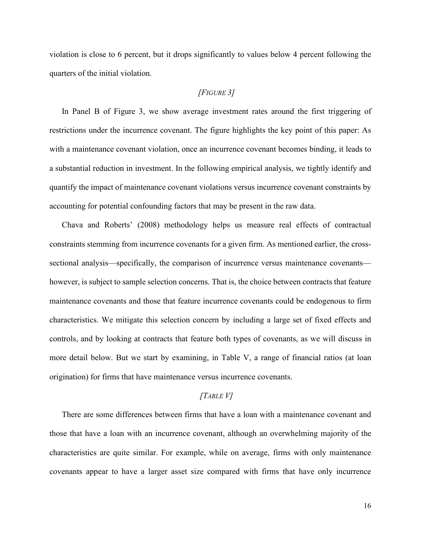violation is close to 6 percent, but it drops significantly to values below 4 percent following the quarters of the initial violation.

# *[FIGURE 3]*

In Panel B of Figure 3, we show average investment rates around the first triggering of restrictions under the incurrence covenant. The figure highlights the key point of this paper: As with a maintenance covenant violation, once an incurrence covenant becomes binding, it leads to a substantial reduction in investment. In the following empirical analysis, we tightly identify and quantify the impact of maintenance covenant violations versus incurrence covenant constraints by accounting for potential confounding factors that may be present in the raw data.

Chava and Roberts' (2008) methodology helps us measure real effects of contractual constraints stemming from incurrence covenants for a given firm. As mentioned earlier, the crosssectional analysis—specifically, the comparison of incurrence versus maintenance covenants however, is subject to sample selection concerns. That is, the choice between contracts that feature maintenance covenants and those that feature incurrence covenants could be endogenous to firm characteristics. We mitigate this selection concern by including a large set of fixed effects and controls, and by looking at contracts that feature both types of covenants, as we will discuss in more detail below. But we start by examining, in Table V, a range of financial ratios (at loan origination) for firms that have maintenance versus incurrence covenants.

## *[TABLE V]*

There are some differences between firms that have a loan with a maintenance covenant and those that have a loan with an incurrence covenant, although an overwhelming majority of the characteristics are quite similar. For example, while on average, firms with only maintenance covenants appear to have a larger asset size compared with firms that have only incurrence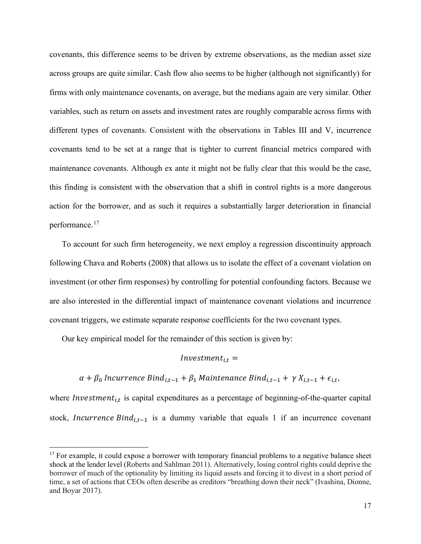covenants, this difference seems to be driven by extreme observations, as the median asset size across groups are quite similar. Cash flow also seems to be higher (although not significantly) for firms with only maintenance covenants, on average, but the medians again are very similar. Other variables, such as return on assets and investment rates are roughly comparable across firms with different types of covenants. Consistent with the observations in Tables III and V, incurrence covenants tend to be set at a range that is tighter to current financial metrics compared with maintenance covenants. Although ex ante it might not be fully clear that this would be the case, this finding is consistent with the observation that a shift in control rights is a more dangerous action for the borrower, and as such it requires a substantially larger deterioration in financial performance.[17](#page-17-0)

To account for such firm heterogeneity, we next employ a regression discontinuity approach following Chava and Roberts (2008) that allows us to isolate the effect of a covenant violation on investment (or other firm responses) by controlling for potential confounding factors. Because we are also interested in the differential impact of maintenance covenant violations and incurrence covenant triggers, we estimate separate response coefficients for the two covenant types.

Our key empirical model for the remainder of this section is given by:

## $Investment_{i,t} =$

 $\alpha + \beta_0$  Incurrence Bind<sub>i,t-1</sub> +  $\beta_1$  Maintenance Bind<sub>i,t-1</sub> +  $\gamma X_{i,t-1}$  +  $\epsilon_{i,t}$ ,

where  $Investment_{i,t}$  is capital expenditures as a percentage of beginning-of-the-quarter capital stock, *Incurrence Bind*<sub>it-1</sub> is a dummy variable that equals 1 if an incurrence covenant

<span id="page-17-0"></span><sup>&</sup>lt;sup>17</sup> For example, it could expose a borrower with temporary financial problems to a negative balance sheet shock at the lender level (Roberts and Sahlman 2011). Alternatively, losing control rights could deprive the borrower of much of the optionality by limiting its liquid assets and forcing it to divest in a short period of time, a set of actions that CEOs often describe as creditors "breathing down their neck" (Ivashina, Dionne, and Boyar 2017).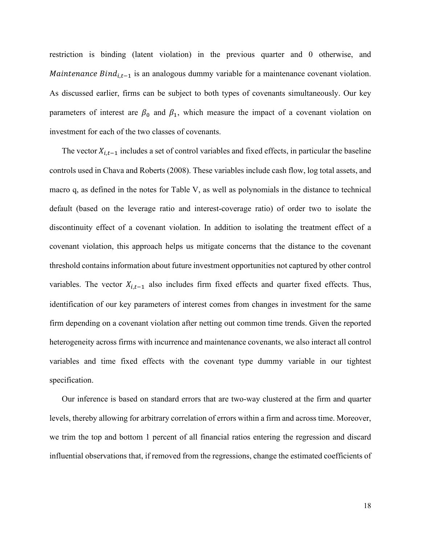restriction is binding (latent violation) in the previous quarter and 0 otherwise, and *Maintenance Bind*<sub>i,t-1</sub> is an analogous dummy variable for a maintenance covenant violation. As discussed earlier, firms can be subject to both types of covenants simultaneously. Our key parameters of interest are  $\beta_0$  and  $\beta_1$ , which measure the impact of a covenant violation on investment for each of the two classes of covenants.

The vector  $X_{i,t-1}$  includes a set of control variables and fixed effects, in particular the baseline controls used in Chava and Roberts (2008). These variables include cash flow, log total assets, and macro q, as defined in the notes for Table V, as well as polynomials in the distance to technical default (based on the leverage ratio and interest-coverage ratio) of order two to isolate the discontinuity effect of a covenant violation. In addition to isolating the treatment effect of a covenant violation, this approach helps us mitigate concerns that the distance to the covenant threshold contains information about future investment opportunities not captured by other control variables. The vector  $X_{i,t-1}$  also includes firm fixed effects and quarter fixed effects. Thus, identification of our key parameters of interest comes from changes in investment for the same firm depending on a covenant violation after netting out common time trends. Given the reported heterogeneity across firms with incurrence and maintenance covenants, we also interact all control variables and time fixed effects with the covenant type dummy variable in our tightest specification.

Our inference is based on standard errors that are two-way clustered at the firm and quarter levels, thereby allowing for arbitrary correlation of errors within a firm and across time. Moreover, we trim the top and bottom 1 percent of all financial ratios entering the regression and discard influential observations that, if removed from the regressions, change the estimated coefficients of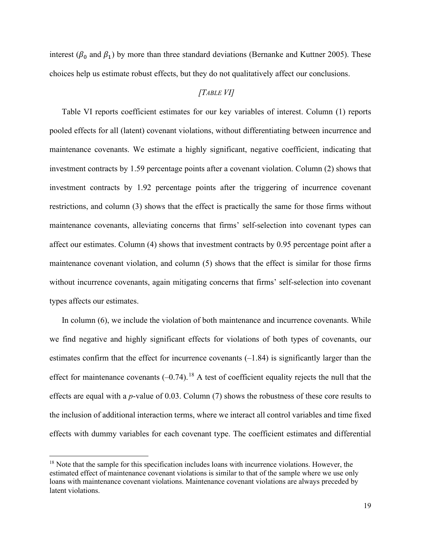interest ( $\beta_0$  and  $\beta_1$ ) by more than three standard deviations (Bernanke and Kuttner 2005). These choices help us estimate robust effects, but they do not qualitatively affect our conclusions.

# *[TABLE VI]*

Table VI reports coefficient estimates for our key variables of interest. Column (1) reports pooled effects for all (latent) covenant violations, without differentiating between incurrence and maintenance covenants. We estimate a highly significant, negative coefficient, indicating that investment contracts by 1.59 percentage points after a covenant violation. Column (2) shows that investment contracts by 1.92 percentage points after the triggering of incurrence covenant restrictions, and column (3) shows that the effect is practically the same for those firms without maintenance covenants, alleviating concerns that firms' self-selection into covenant types can affect our estimates. Column (4) shows that investment contracts by 0.95 percentage point after a maintenance covenant violation, and column (5) shows that the effect is similar for those firms without incurrence covenants, again mitigating concerns that firms' self-selection into covenant types affects our estimates.

In column (6), we include the violation of both maintenance and incurrence covenants. While we find negative and highly significant effects for violations of both types of covenants, our estimates confirm that the effect for incurrence covenants  $(-1.84)$  is significantly larger than the effect for maintenance covenants  $(-0.74)$ .<sup>[18](#page-19-0)</sup> A test of coefficient equality rejects the null that the effects are equal with a *p*-value of 0.03. Column (7) shows the robustness of these core results to the inclusion of additional interaction terms, where we interact all control variables and time fixed effects with dummy variables for each covenant type. The coefficient estimates and differential

<span id="page-19-0"></span><sup>&</sup>lt;sup>18</sup> Note that the sample for this specification includes loans with incurrence violations. However, the estimated effect of maintenance covenant violations is similar to that of the sample where we use only loans with maintenance covenant violations. Maintenance covenant violations are always preceded by latent violations.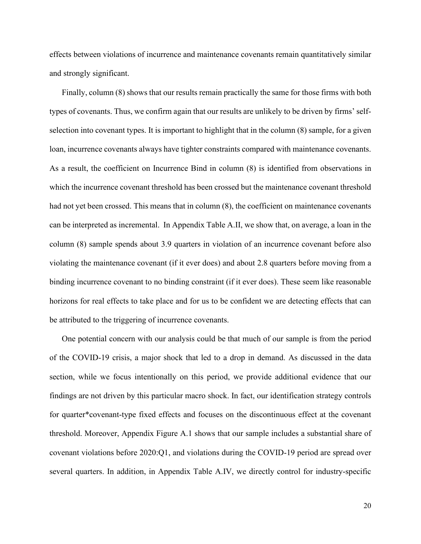effects between violations of incurrence and maintenance covenants remain quantitatively similar and strongly significant.

Finally, column (8) shows that our results remain practically the same for those firms with both types of covenants. Thus, we confirm again that our results are unlikely to be driven by firms' selfselection into covenant types. It is important to highlight that in the column (8) sample, for a given loan, incurrence covenants always have tighter constraints compared with maintenance covenants. As a result, the coefficient on Incurrence Bind in column (8) is identified from observations in which the incurrence covenant threshold has been crossed but the maintenance covenant threshold had not yet been crossed. This means that in column (8), the coefficient on maintenance covenants can be interpreted as incremental. In Appendix Table A.II, we show that, on average, a loan in the column (8) sample spends about 3.9 quarters in violation of an incurrence covenant before also violating the maintenance covenant (if it ever does) and about 2.8 quarters before moving from a binding incurrence covenant to no binding constraint (if it ever does). These seem like reasonable horizons for real effects to take place and for us to be confident we are detecting effects that can be attributed to the triggering of incurrence covenants.

One potential concern with our analysis could be that much of our sample is from the period of the COVID-19 crisis, a major shock that led to a drop in demand. As discussed in the data section, while we focus intentionally on this period, we provide additional evidence that our findings are not driven by this particular macro shock. In fact, our identification strategy controls for quarter\*covenant-type fixed effects and focuses on the discontinuous effect at the covenant threshold. Moreover, Appendix Figure A.1 shows that our sample includes a substantial share of covenant violations before 2020:Q1, and violations during the COVID-19 period are spread over several quarters. In addition, in Appendix Table A.IV, we directly control for industry-specific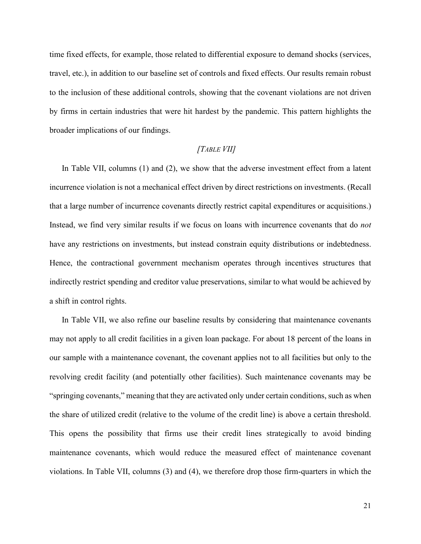time fixed effects, for example, those related to differential exposure to demand shocks (services, travel, etc.), in addition to our baseline set of controls and fixed effects. Our results remain robust to the inclusion of these additional controls, showing that the covenant violations are not driven by firms in certain industries that were hit hardest by the pandemic. This pattern highlights the broader implications of our findings.

# *[TABLE VII]*

In Table VII, columns (1) and (2), we show that the adverse investment effect from a latent incurrence violation is not a mechanical effect driven by direct restrictions on investments. (Recall that a large number of incurrence covenants directly restrict capital expenditures or acquisitions.) Instead, we find very similar results if we focus on loans with incurrence covenants that do *not* have any restrictions on investments, but instead constrain equity distributions or indebtedness. Hence, the contractional government mechanism operates through incentives structures that indirectly restrict spending and creditor value preservations, similar to what would be achieved by a shift in control rights.

In Table VII, we also refine our baseline results by considering that maintenance covenants may not apply to all credit facilities in a given loan package. For about 18 percent of the loans in our sample with a maintenance covenant, the covenant applies not to all facilities but only to the revolving credit facility (and potentially other facilities). Such maintenance covenants may be "springing covenants," meaning that they are activated only under certain conditions, such as when the share of utilized credit (relative to the volume of the credit line) is above a certain threshold. This opens the possibility that firms use their credit lines strategically to avoid binding maintenance covenants, which would reduce the measured effect of maintenance covenant violations. In Table VII, columns (3) and (4), we therefore drop those firm-quarters in which the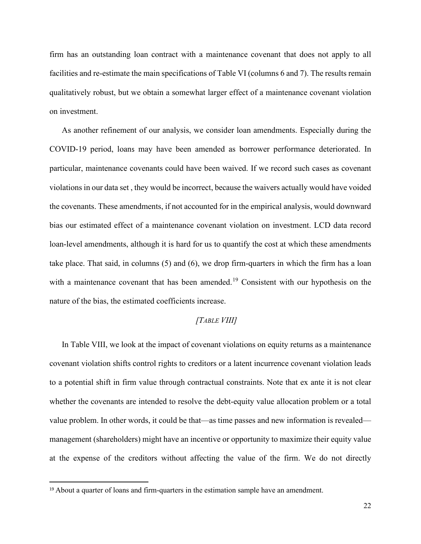firm has an outstanding loan contract with a maintenance covenant that does not apply to all facilities and re-estimate the main specifications of Table VI (columns 6 and 7). The results remain qualitatively robust, but we obtain a somewhat larger effect of a maintenance covenant violation on investment.

As another refinement of our analysis, we consider loan amendments. Especially during the COVID-19 period, loans may have been amended as borrower performance deteriorated. In particular, maintenance covenants could have been waived. If we record such cases as covenant violations in our data set , they would be incorrect, because the waivers actually would have voided the covenants. These amendments, if not accounted for in the empirical analysis, would downward bias our estimated effect of a maintenance covenant violation on investment. LCD data record loan-level amendments, although it is hard for us to quantify the cost at which these amendments take place. That said, in columns (5) and (6), we drop firm-quarters in which the firm has a loan with a maintenance covenant that has been amended.<sup>[19](#page-22-0)</sup> Consistent with our hypothesis on the nature of the bias, the estimated coefficients increase.

# *[TABLE VIII]*

In Table VIII, we look at the impact of covenant violations on equity returns as a maintenance covenant violation shifts control rights to creditors or a latent incurrence covenant violation leads to a potential shift in firm value through contractual constraints. Note that ex ante it is not clear whether the covenants are intended to resolve the debt-equity value allocation problem or a total value problem. In other words, it could be that—as time passes and new information is revealed management (shareholders) might have an incentive or opportunity to maximize their equity value at the expense of the creditors without affecting the value of the firm. We do not directly

<span id="page-22-0"></span><sup>19</sup> About a quarter of loans and firm-quarters in the estimation sample have an amendment.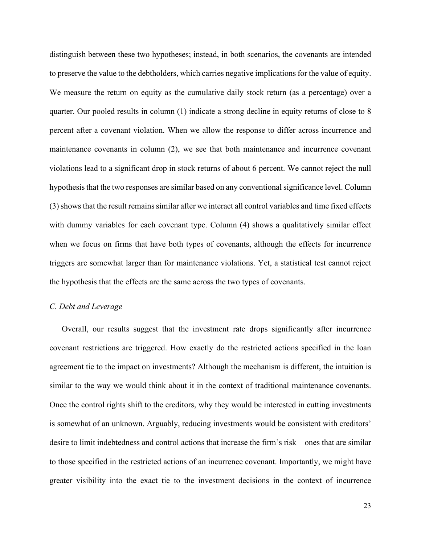distinguish between these two hypotheses; instead, in both scenarios, the covenants are intended to preserve the value to the debtholders, which carries negative implications for the value of equity. We measure the return on equity as the cumulative daily stock return (as a percentage) over a quarter. Our pooled results in column (1) indicate a strong decline in equity returns of close to 8 percent after a covenant violation. When we allow the response to differ across incurrence and maintenance covenants in column (2), we see that both maintenance and incurrence covenant violations lead to a significant drop in stock returns of about 6 percent. We cannot reject the null hypothesis that the two responses are similar based on any conventional significance level. Column (3) shows that the result remains similar after we interact all control variables and time fixed effects with dummy variables for each covenant type. Column (4) shows a qualitatively similar effect when we focus on firms that have both types of covenants, although the effects for incurrence triggers are somewhat larger than for maintenance violations. Yet, a statistical test cannot reject the hypothesis that the effects are the same across the two types of covenants.

#### *C. Debt and Leverage*

Overall, our results suggest that the investment rate drops significantly after incurrence covenant restrictions are triggered. How exactly do the restricted actions specified in the loan agreement tie to the impact on investments? Although the mechanism is different, the intuition is similar to the way we would think about it in the context of traditional maintenance covenants. Once the control rights shift to the creditors, why they would be interested in cutting investments is somewhat of an unknown. Arguably, reducing investments would be consistent with creditors' desire to limit indebtedness and control actions that increase the firm's risk—ones that are similar to those specified in the restricted actions of an incurrence covenant. Importantly, we might have greater visibility into the exact tie to the investment decisions in the context of incurrence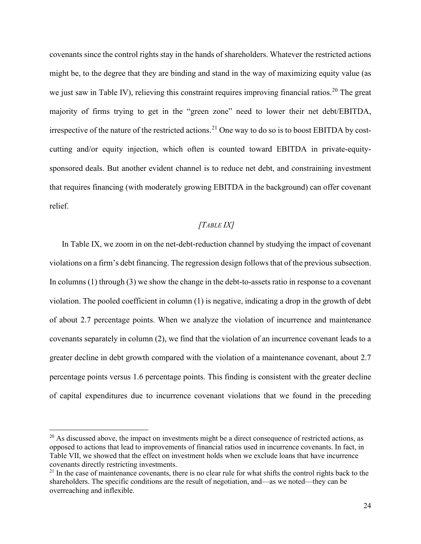covenants since the control rights stay in the hands of shareholders. Whatever the restricted actions might be, to the degree that they are binding and stand in the way of maximizing equity value (as we just saw in Table IV), relieving this constraint requires improving financial ratios.<sup>[20](#page-24-0)</sup> The great majority of firms trying to get in the "green zone" need to lower their net debt/EBITDA, irrespective of the nature of the restricted actions.<sup>[21](#page-24-1)</sup> One way to do so is to boost EBITDA by costcutting and/or equity injection, which often is counted toward EBITDA in private-equitysponsored deals. But another evident channel is to reduce net debt, and constraining investment that requires financing (with moderately growing EBITDA in the background) can offer covenant relief.

## *[TABLE IX]*

In Table IX, we zoom in on the net-debt-reduction channel by studying the impact of covenant violations on a firm's debt financing. The regression design follows that of the previous subsection. In columns (1) through (3) we show the change in the debt-to-assets ratio in response to a covenant violation. The pooled coefficient in column (1) is negative, indicating a drop in the growth of debt of about 2.7 percentage points. When we analyze the violation of incurrence and maintenance covenants separately in column (2), we find that the violation of an incurrence covenant leads to a greater decline in debt growth compared with the violation of a maintenance covenant, about 2.7 percentage points versus 1.6 percentage points. This finding is consistent with the greater decline of capital expenditures due to incurrence covenant violations that we found in the preceding

<span id="page-24-0"></span> $20$  As discussed above, the impact on investments might be a direct consequence of restricted actions, as opposed to actions that lead to improvements of financial ratios used in incurrence covenants. In fact, in Table VII, we showed that the effect on investment holds when we exclude loans that have incurrence covenants directly restricting investments.

<span id="page-24-1"></span><sup>&</sup>lt;sup>21</sup> In the case of maintenance covenants, there is no clear rule for what shifts the control rights back to the shareholders. The specific conditions are the result of negotiation, and—as we noted—they can be overreaching and inflexible.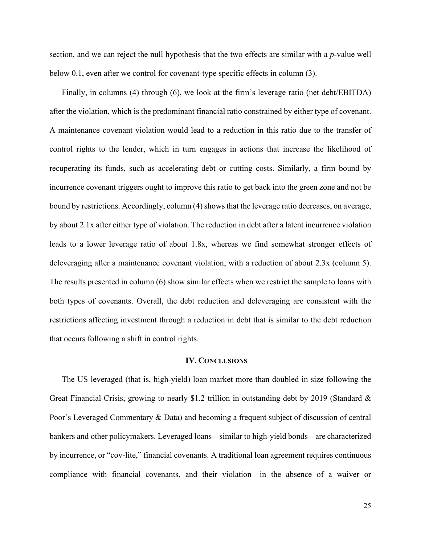section, and we can reject the null hypothesis that the two effects are similar with a *p*-value well below 0.1, even after we control for covenant-type specific effects in column (3).

Finally, in columns (4) through (6), we look at the firm's leverage ratio (net debt/EBITDA) after the violation, which is the predominant financial ratio constrained by either type of covenant. A maintenance covenant violation would lead to a reduction in this ratio due to the transfer of control rights to the lender, which in turn engages in actions that increase the likelihood of recuperating its funds, such as accelerating debt or cutting costs. Similarly, a firm bound by incurrence covenant triggers ought to improve this ratio to get back into the green zone and not be bound by restrictions. Accordingly, column (4) shows that the leverage ratio decreases, on average, by about 2.1x after either type of violation. The reduction in debt after a latent incurrence violation leads to a lower leverage ratio of about 1.8x, whereas we find somewhat stronger effects of deleveraging after a maintenance covenant violation, with a reduction of about 2.3x (column 5). The results presented in column (6) show similar effects when we restrict the sample to loans with both types of covenants. Overall, the debt reduction and deleveraging are consistent with the restrictions affecting investment through a reduction in debt that is similar to the debt reduction that occurs following a shift in control rights.

#### **IV. CONCLUSIONS**

The US leveraged (that is, high-yield) loan market more than doubled in size following the Great Financial Crisis, growing to nearly \$1.2 trillion in outstanding debt by 2019 (Standard & Poor's Leveraged Commentary & Data) and becoming a frequent subject of discussion of central bankers and other policymakers. Leveraged loans—similar to high-yield bonds—are characterized by incurrence, or "cov-lite," financial covenants. A traditional loan agreement requires continuous compliance with financial covenants, and their violation—in the absence of a waiver or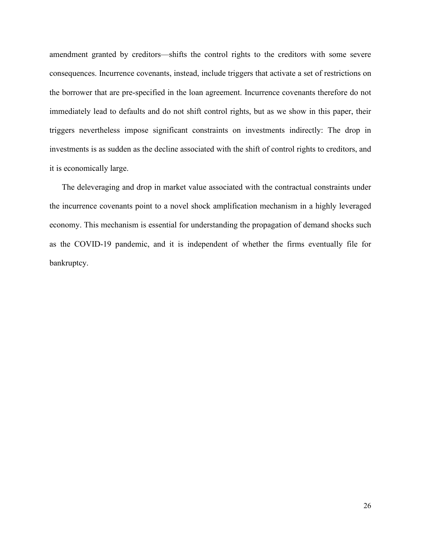amendment granted by creditors—shifts the control rights to the creditors with some severe consequences. Incurrence covenants, instead, include triggers that activate a set of restrictions on the borrower that are pre-specified in the loan agreement. Incurrence covenants therefore do not immediately lead to defaults and do not shift control rights, but as we show in this paper, their triggers nevertheless impose significant constraints on investments indirectly: The drop in investments is as sudden as the decline associated with the shift of control rights to creditors, and it is economically large.

The deleveraging and drop in market value associated with the contractual constraints under the incurrence covenants point to a novel shock amplification mechanism in a highly leveraged economy. This mechanism is essential for understanding the propagation of demand shocks such as the COVID-19 pandemic, and it is independent of whether the firms eventually file for bankruptcy.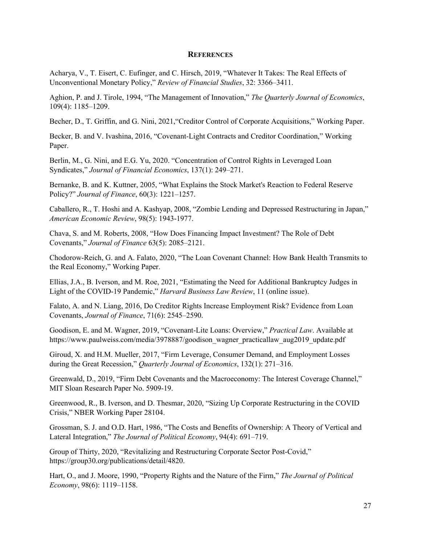#### **REFERENCES**

Acharya, V., T. Eisert, C. Eufinger, and C. Hirsch, 2019, "Whatever It Takes: The Real Effects of Unconventional Monetary Policy," *Review of Financial Studies*, 32: 3366–3411.

Aghion, P. and J. Tirole, 1994, "The Management of Innovation," *The Quarterly Journal of Economics*, 109(4): 1185–1209.

Becher, D., T. Griffin, and G. Nini, 2021,"Creditor Control of Corporate Acquisitions," Working Paper.

Becker, B. and V. Ivashina, 2016, "Covenant-Light Contracts and Creditor Coordination," Working Paper.

Berlin, M., G. Nini, and E.G. Yu, 2020. "Concentration of Control Rights in Leveraged Loan Syndicates," *Journal of Financial Economics*, 137(1): 249–271.

Bernanke, B. and K. Kuttner, 2005, "What Explains the Stock Market's Reaction to Federal Reserve Policy?" *Journal of Finance*, 60(3): 1221–1257.

Caballero, R., T. Hoshi and A. Kashyap, 2008, "Zombie Lending and Depressed Restructuring in Japan," *American Economic Review*, 98(5): 1943-1977.

Chava, S. and M. Roberts, 2008, "How Does Financing Impact Investment? The Role of Debt Covenants," *Journal of Finance* 63(5): 2085–2121.

Chodorow-Reich, G. and A. Falato, 2020, "The Loan Covenant Channel: How Bank Health Transmits to the Real Economy," Working Paper.

Ellias, J.A., B. Iverson, and M. Roe, 2021, "Estimating the Need for Additional Bankruptcy Judges in Light of the COVID-19 Pandemic," *Harvard Business Law Review*, 11 (online issue).

Falato, A. and N. Liang, 2016, Do Creditor Rights Increase Employment Risk? Evidence from Loan Covenants, *Journal of Finance*, 71(6): 2545–2590.

Goodison, E. and M. Wagner, 2019, "Covenant-Lite Loans: Overview," *Practical Law*. Available at https://www.paulweiss.com/media/3978887/goodison\_wagner\_practicallaw\_aug2019\_update.pdf

Giroud, X. and H.M. Mueller, 2017, "Firm Leverage, Consumer Demand, and Employment Losses during the Great Recession," *Quarterly Journal of Economics*, 132(1): 271–316.

Greenwald, D., 2019, "Firm Debt Covenants and the Macroeconomy: The Interest Coverage Channel," MIT Sloan Research Paper No. 5909-19.

Greenwood, R., B. Iverson, and D. Thesmar, 2020, "Sizing Up Corporate Restructuring in the COVID Crisis," NBER Working Paper 28104.

Grossman, S. J. and O.D. Hart, 1986, "The Costs and Benefits of Ownership: A Theory of Vertical and Lateral Integration," *The Journal of Political Economy*, 94(4): 691–719.

Group of Thirty, 2020, "Revitalizing and Restructuring Corporate Sector Post-Covid," [https://group30.org/publications/detail/4820.](https://group30.org/publications/detail/4820)

Hart, O., and J. Moore, 1990, "Property Rights and the Nature of the Firm," *The Journal of Political Economy*, 98(6): 1119–1158.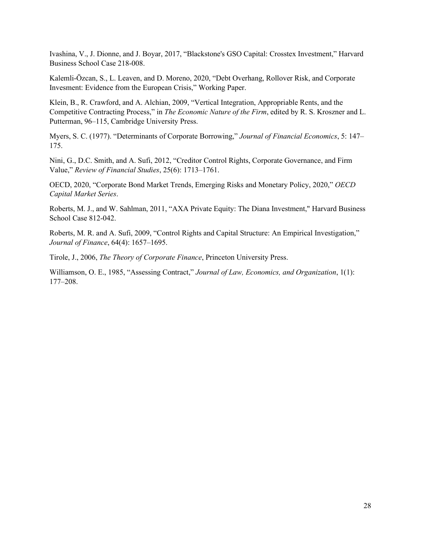Ivashina, V., J. Dionne, and J. Boyar, 2017, "Blackstone's GSO Capital: Crosstex Investment," Harvard Business School Case 218-008.

Kalemli-Ӧzcan, S., L. Leaven, and D. Moreno, 2020, "Debt Overhang, Rollover Risk, and Corporate Invesment: Evidence from the European Crisis," Working Paper.

Klein, B., R. Crawford, and A. Alchian, 2009, "Vertical Integration, Appropriable Rents, and the Competitive Contracting Process," in *The Economic Nature of the Firm*, edited by R. S. Kroszner and L. Putterman, 96–115, Cambridge University Press.

Myers, S. C. (1977). "Determinants of Corporate Borrowing," *Journal of Financial Economics*, 5: 147– 175.

Nini, G., D.C. Smith, and A. Sufi, 2012, "Creditor Control Rights, Corporate Governance, and Firm Value," *Review of Financial Studies*, 25(6): 1713–1761.

OECD, 2020, "Corporate Bond Market Trends, Emerging Risks and Monetary Policy, 2020," *OECD Capital Market Series*.

Roberts, M. J., and W. Sahlman, 2011, "AXA Private Equity: The Diana Investment," Harvard Business School Case 812-042.

Roberts, M. R. and A. Sufi, 2009, "Control Rights and Capital Structure: An Empirical Investigation," *Journal of Finance*, 64(4): 1657–1695.

Tirole, J., 2006, *The Theory of Corporate Finance*, Princeton University Press.

Williamson, O. E., 1985, "Assessing Contract," *Journal of Law, Economics, and Organization*, 1(1): 177–208.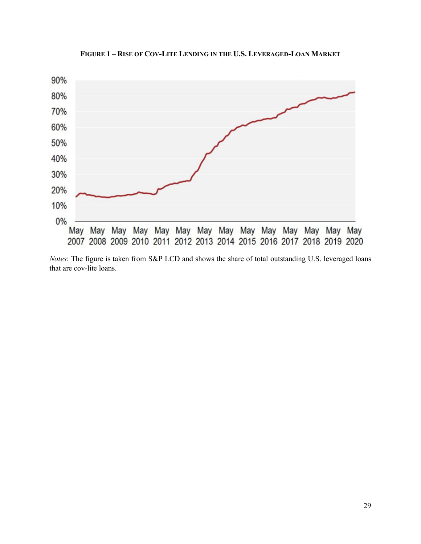

**FIGURE 1 – RISE OF COV-LITE LENDING IN THE U.S. LEVERAGED-LOAN MARKET**

*Notes*: The figure is taken from S&P LCD and shows the share of total outstanding U.S. leveraged loans that are cov-lite loans.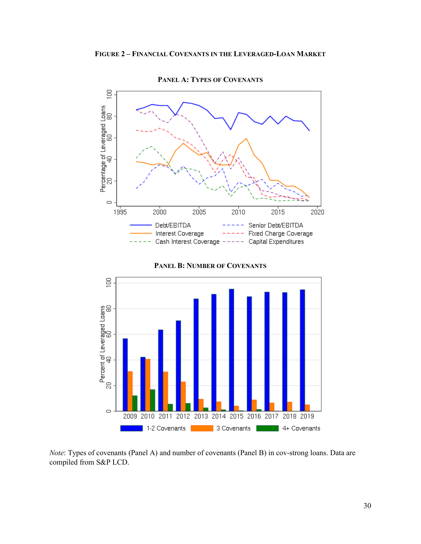

**PANEL A: TYPES OF COVENANTS**



*Note*: Types of covenants (Panel A) and number of covenants (Panel B) in cov-strong loans. Data are compiled from S&P LCD.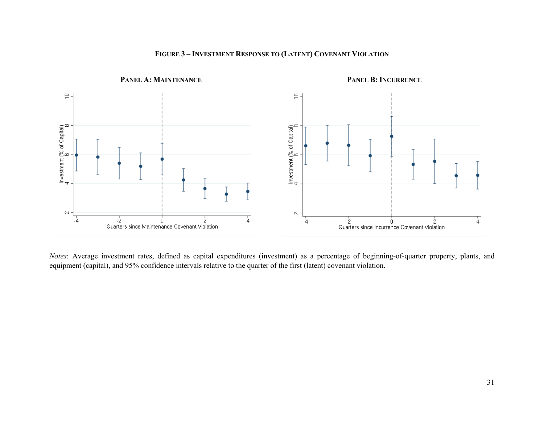

# **FIGURE 3 – INVESTMENT RESPONSE TO (LATENT) COVENANT VIOLATION**

*Notes*: Average investment rates, defined as capital expenditures (investment) as a percentage of beginning-of-quarter property, plants, and equipment (capital), and 95% confidence intervals relative to the quarter of the first (latent) covenant violation.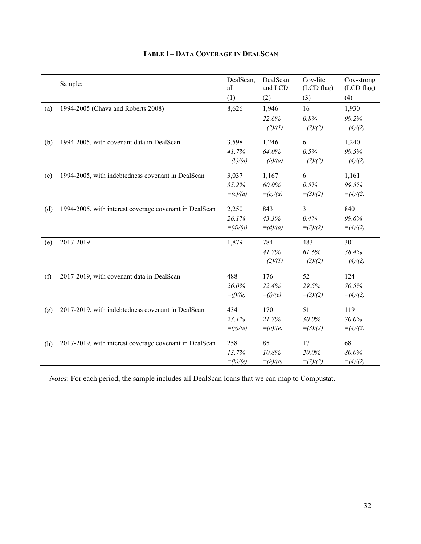|     | Sample:                                                | DealScan,<br>all | DealScan<br>and LCD | Cov-lite<br>(LCD flag) | Cov-strong<br>(LCD flag) |
|-----|--------------------------------------------------------|------------------|---------------------|------------------------|--------------------------|
|     |                                                        | (1)              | (2)                 | (3)                    | (4)                      |
| (a) | 1994-2005 (Chava and Roberts 2008)                     | 8,626            | 1,946               | 16                     | 1,930                    |
|     |                                                        |                  | 22.6%               | 0.8%                   | 99.2%                    |
|     |                                                        |                  | $=(2)/(1)$          | $=(3)/(2)$             | $=(4)/(2)$               |
| (b) | 1994-2005, with covenant data in DealScan              | 3,598            | 1,246               | 6                      | 1,240                    |
|     |                                                        | 41.7%            | 64.0%               | 0.5%                   | 99.5%                    |
|     |                                                        | $=(b)/(a)$       | $=(b)/(a)$          | $=(3)/(2)$             | $=(4)/(2)$               |
| (c) | 1994-2005, with indebtedness covenant in DealScan      | 3,037            | 1,167               | 6                      | 1,161                    |
|     |                                                        | 35.2%            | 60.0%               | 0.5%                   | 99.5%                    |
|     |                                                        | $=(c)/(a)$       | $=(c)/(a)$          | $=(3)/(2)$             | $=(4)/(2)$               |
| (d) | 1994-2005, with interest coverage covenant in DealScan | 2,250            | 843                 | $\overline{3}$         | 840                      |
|     |                                                        | 26.1%            | 43.3%               | 0.4%                   | 99.6%                    |
|     |                                                        | $=(d)/(a)$       | $=(d)/(a)$          | $=(3)/(2)$             | $=(4)/(2)$               |
| (e) | 2017-2019                                              | 1,879            | 784                 | 483                    | 301                      |
|     |                                                        |                  | 41.7%               | 61.6%                  | 38.4%                    |
|     |                                                        |                  | $=(2)/(1)$          | $=(3)/(2)$             | $=(4)/(2)$               |
| (f) | 2017-2019, with covenant data in DealScan              | 488              | 176                 | 52                     | 124                      |
|     |                                                        | 26.0%            | 22.4%               | 29.5%                  | 70.5%                    |
|     |                                                        | $=$ (f)/(e)      | $=$ (f)/(e)         | $=(3)/(2)$             | $=(4)/(2)$               |
| (g) | 2017-2019, with indebtedness covenant in DealScan      | 434              | 170                 | 51                     | 119                      |
|     |                                                        | 23.1%            | 21.7%               | 30.0%                  | 70.0%                    |
|     |                                                        | $=(g)/(e)$       | $=(g)/(e)$          | $=(3)/(2)$             | $=(4)/(2)$               |
| (h) | 2017-2019, with interest coverage covenant in DealScan | 258              | 85                  | 17                     | 68                       |
|     |                                                        | 13.7%            | 10.8%               | 20.0%                  | $80.0\%$                 |
|     |                                                        | $=(h)/(e)$       | $=(h)/(e)$          | $=(3)/(2)$             | $=(4)/(2)$               |

# **TABLE I – DATA COVERAGE IN DEALSCAN**

*Notes*: For each period, the sample includes all DealScan loans that we can map to Compustat.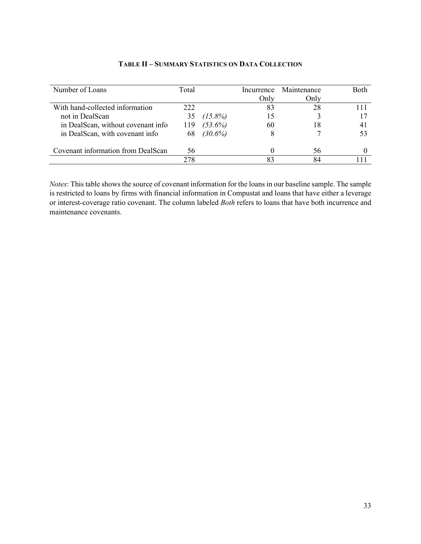| Number of Loans                    | Total |            | Incurrence | Maintenance | Both |
|------------------------------------|-------|------------|------------|-------------|------|
|                                    |       |            | Only       | Only        |      |
| With hand-collected information    | 222   |            |            | 28          |      |
| not in DealScan                    |       | $(15.8\%)$ |            |             |      |
| in DealScan, without covenant info | 119   | $(53.6\%)$ | 60         | 18          |      |
| in DealScan, with covenant info    | 68    | $(30.6\%)$ |            |             |      |
| Covenant information from DealScan | 56    |            |            | 56          |      |
|                                    | 278   |            |            | 84          |      |

## **TABLE II – SUMMARY STATISTICS ON DATA COLLECTION**

*Notes*: This table shows the source of covenant information for the loans in our baseline sample. The sample is restricted to loans by firms with financial information in Compustat and loans that have either a leverage or interest-coverage ratio covenant. The column labeled *Both* refers to loans that have both incurrence and maintenance covenants.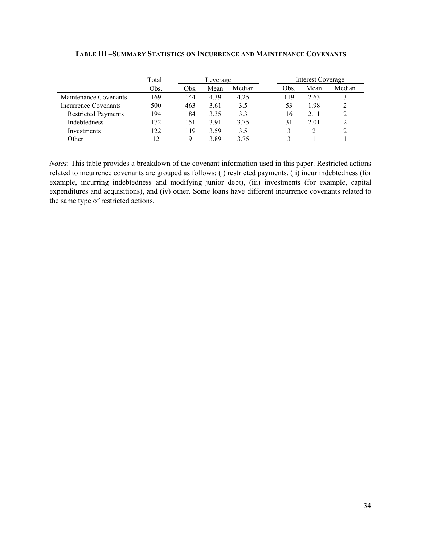|                            | Total           |      | Leverage |        |      | Interest Coverage |        |  |
|----------------------------|-----------------|------|----------|--------|------|-------------------|--------|--|
|                            | Obs.            | Obs. | Mean     | Median | Obs. | Mean              | Median |  |
| Maintenance Covenants      | 169             | 144  | 4.39     | 4.25   | 119  | 2.63              |        |  |
| Incurrence Covenants       | 500             | 463  | 3.61     | 3.5    | 53   | 1.98              |        |  |
| <b>Restricted Payments</b> | 194             | 184  | 3.35     | 3.3    | 16   | 2.11              |        |  |
| <b>Indebtedness</b>        | 172             | 151  | 3.91     | 3.75   | 31   | 2.01              |        |  |
| Investments                | 122             | 119  | 3.59     | 3.5    |      |                   |        |  |
| Other                      | $\overline{12}$ | Q    | 3.89     | 3 75   |      |                   |        |  |

## **TABLE III –SUMMARY STATISTICS ON INCURRENCE AND MAINTENANCE COVENANTS**

*Notes*: This table provides a breakdown of the covenant information used in this paper. Restricted actions related to incurrence covenants are grouped as follows: (i) restricted payments, (ii) incur indebtedness (for example, incurring indebtedness and modifying junior debt), (iii) investments (for example, capital expenditures and acquisitions), and (iv) other. Some loans have different incurrence covenants related to the same type of restricted actions.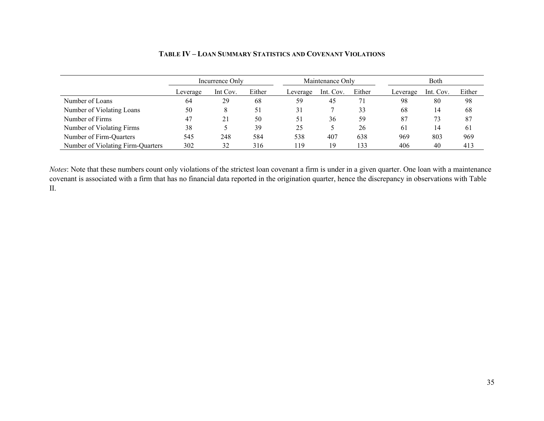|                                   |          | Incurrence Only |        |          | Maintenance Only |        |          | Both      |        |  |
|-----------------------------------|----------|-----------------|--------|----------|------------------|--------|----------|-----------|--------|--|
|                                   | Leverage | Int Cov.        | Either | Leverage | Int. Cov.        | Either | Leverage | Int. Cov. | Either |  |
| Number of Loans                   | 64       | 29              | 68     | 59       | 45               | 71     | 98       | 80        | 98     |  |
| Number of Violating Loans         | 50       |                 | 51     | 31       |                  | 33     | 68       | 14        | 68     |  |
| Number of Firms                   | 47       | 21              | 50     | 51       | 36               | 59     | 87       | 73        | 87     |  |
| Number of Violating Firms         | 38       |                 | 39     | 25       |                  | 26     | 61       | 14        | 61     |  |
| Number of Firm-Quarters           | 545      | 248             | 584    | 538      | 407              | 638    | 969      | 803       | 969    |  |
| Number of Violating Firm-Quarters | 302      | 32              | 316    | 119      | 19               | 133    | 406      | 40        | 413    |  |

# **TABLE IV – LOAN SUMMARY STATISTICS AND COVENANT VIOLATIONS**

*Notes*: Note that these numbers count only violations of the strictest loan covenant a firm is under in a given quarter. One loan with a maintenance covenant is associated with a firm that has no financial data reported in the origination quarter, hence the discrepancy in observations with Table II.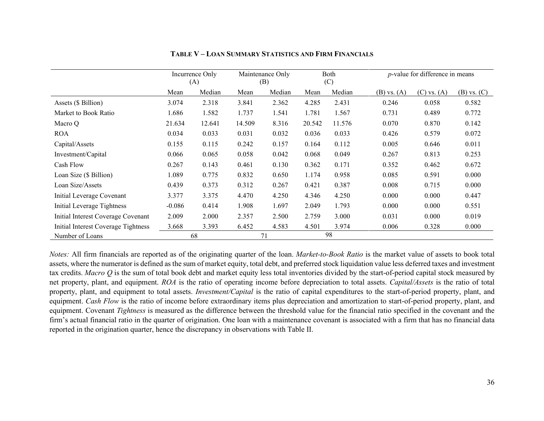|                                     | Incurrence Only<br>(A) |        |        | Maintenance Only<br>(B) |        | Both<br>(C) |                 | $p$ -value for difference in means |                 |  |
|-------------------------------------|------------------------|--------|--------|-------------------------|--------|-------------|-----------------|------------------------------------|-----------------|--|
|                                     | Mean                   | Median | Mean   | Median                  | Mean   | Median      | $(B)$ vs. $(A)$ | $(C)$ vs. $(A)$                    | $(B)$ vs. $(C)$ |  |
| Assets (\$ Billion)                 | 3.074                  | 2.318  | 3.841  | 2.362                   | 4.285  | 2.431       | 0.246           | 0.058                              | 0.582           |  |
| Market to Book Ratio                | 1.686                  | 1.582  | 1.737  | 1.541                   | 1.781  | 1.567       | 0.731           | 0.489                              | 0.772           |  |
| Macro O                             | 21.634                 | 12.641 | 14.509 | 8.316                   | 20.542 | 11.576      | 0.070           | 0.870                              | 0.142           |  |
| <b>ROA</b>                          | 0.034                  | 0.033  | 0.031  | 0.032                   | 0.036  | 0.033       | 0.426           | 0.579                              | 0.072           |  |
| Capital/Assets                      | 0.155                  | 0.115  | 0.242  | 0.157                   | 0.164  | 0.112       | 0.005           | 0.646                              | 0.011           |  |
| Investment/Capital                  | 0.066                  | 0.065  | 0.058  | 0.042                   | 0.068  | 0.049       | 0.267           | 0.813                              | 0.253           |  |
| Cash Flow                           | 0.267                  | 0.143  | 0.461  | 0.130                   | 0.362  | 0.171       | 0.352           | 0.462                              | 0.672           |  |
| Loan Size (\$ Billion)              | 1.089                  | 0.775  | 0.832  | 0.650                   | 1.174  | 0.958       | 0.085           | 0.591                              | 0.000           |  |
| Loan Size/Assets                    | 0.439                  | 0.373  | 0.312  | 0.267                   | 0.421  | 0.387       | 0.008           | 0.715                              | 0.000           |  |
| Initial Leverage Covenant           | 3.377                  | 3.375  | 4.470  | 4.250                   | 4.346  | 4.250       | 0.000           | 0.000                              | 0.447           |  |
| Initial Leverage Tightness          | $-0.086$               | 0.414  | 1.908  | 1.697                   | 2.049  | 1.793       | 0.000           | 0.000                              | 0.551           |  |
| Initial Interest Coverage Covenant  | 2.009                  | 2.000  | 2.357  | 2.500                   | 2.759  | 3.000       | 0.031           | 0.000                              | 0.019           |  |
| Initial Interest Coverage Tightness | 3.668                  | 3.393  | 6.452  | 4.583                   | 4.501  | 3.974       | 0.006           | 0.328                              | 0.000           |  |
| Number of Loans                     |                        | 68     |        | 71                      |        | 98          |                 |                                    |                 |  |

#### **TABLE V – LOAN SUMMARY STATISTICS AND FIRM FINANCIALS**

*Notes:* All firm financials are reported as of the originating quarter of the loan. *Market-to-Book Ratio* is the market value of assets to book total assets, where the numerator is defined as the sum of market equity, total debt, and preferred stock liquidation value less deferred taxes and investment tax credits. *Macro Q* is the sum of total book debt and market equity less total inventories divided by the start-of-period capital stock measured by net property, plant, and equipment. *ROA* is the ratio of operating income before depreciation to total assets. *Capital/Assets* is the ratio of total property, plant, and equipment to total assets. *Investment/Capital* is the ratio of capital expenditures to the start-of-period property, plant, and equipment. *Cash Flow* is the ratio of income before extraordinary items plus depreciation and amortization to start-of-period property, plant, and equipment. Covenant *Tightness* is measured as the difference between the threshold value for the financial ratio specified in the covenant and the firm's actual financial ratio in the quarter of origination. One loan with a maintenance covenant is associated with a firm that has no financial data reported in the origination quarter, hence the discrepancy in observations with Table II.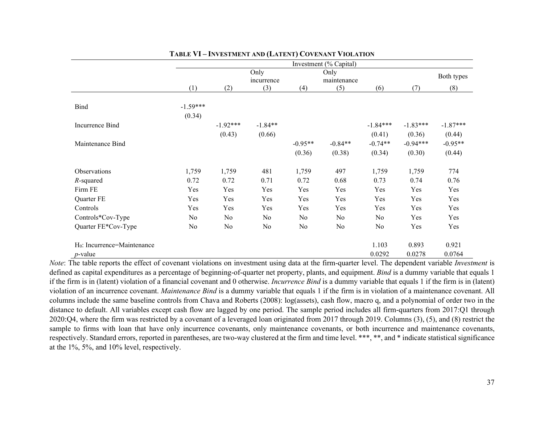|                                |                |            |                   |           | Investment (% Capital) |            |            |            |
|--------------------------------|----------------|------------|-------------------|-----------|------------------------|------------|------------|------------|
|                                |                |            | Only              |           | Only                   |            |            | Both types |
|                                | (1)            | (2)        | incurrence<br>(3) | (4)       | maintenance<br>(5)     | (6)        | (7)        | (8)        |
|                                |                |            |                   |           |                        |            |            |            |
| <b>Bind</b>                    | $-1.59***$     |            |                   |           |                        |            |            |            |
|                                | (0.34)         |            |                   |           |                        |            |            |            |
| Incurrence Bind                |                | $-1.92***$ | $-1.84**$         |           |                        | $-1.84***$ | $-1.83***$ | $-1.87***$ |
|                                |                | (0.43)     | (0.66)            |           |                        | (0.41)     | (0.36)     | (0.44)     |
| Maintenance Bind               |                |            |                   | $-0.95**$ | $-0.84**$              | $-0.74**$  | $-0.94***$ | $-0.95**$  |
|                                |                |            |                   | (0.36)    | (0.38)                 | (0.34)     | (0.30)     | (0.44)     |
| Observations                   | 1,759          | 1,759      | 481               | 1,759     | 497                    | 1,759      | 1,759      | 774        |
| $R$ -squared                   | 0.72           | 0.72       | 0.71              | 0.72      | 0.68                   | 0.73       | 0.74       | 0.76       |
| Firm FE                        | Yes            | Yes        | Yes               | Yes       | Yes                    | Yes        | Yes        | Yes        |
| Quarter FE                     | Yes            | Yes        | Yes               | Yes       | Yes                    | Yes        | Yes        | Yes        |
| Controls                       | Yes            | Yes        | Yes               | Yes       | Yes                    | Yes        | Yes        | Yes        |
| Controls*Cov-Type              | N <sub>o</sub> | No         | No                | No        | No                     | No         | Yes        | Yes        |
| Quarter FE*Cov-Type            | No             | No         | No                | No        | No                     | No         | Yes        | Yes        |
| $H_0$ : Incurrence=Maintenance |                |            |                   |           |                        | 1.103      | 0.893      | 0.921      |
| $p$ -value                     |                |            |                   |           |                        | 0.0292     | 0.0278     | 0.0764     |

#### **TABLE VI – INVESTMENT AND (LATENT) COVENANT VIOLATION**

*Note*: The table reports the effect of covenant violations on investment using data at the firm-quarter level. The dependent variable *Investment* is defined as capital expenditures as a percentage of beginning-of-quarter net property, plants, and equipment. *Bind* is a dummy variable that equals 1 if the firm is in (latent) violation of a financial covenant and 0 otherwise. *Incurrence Bind* is a dummy variable that equals 1 if the firm is in (latent) violation of an incurrence covenant. *Maintenance Bind* is a dummy variable that equals 1 if the firm is in violation of a maintenance covenant. All columns include the same baseline controls from Chava and Roberts (2008): log(assets), cash flow, macro q, and a polynomial of order two in the distance to default. All variables except cash flow are lagged by one period. The sample period includes all firm-quarters from 2017:Q1 through 2020:Q4, where the firm was restricted by a covenant of a leveraged loan originated from 2017 through 2019. Columns (3), (5), and (8) restrict the sample to firms with loan that have only incurrence covenants, only maintenance covenants, or both incurrence and maintenance covenants, respectively. Standard errors, reported in parentheses, are two-way clustered at the firm and time level. \*\*\*, \*\*, and \* indicate statistical significance at the 1%, 5%, and 10% level, respectively.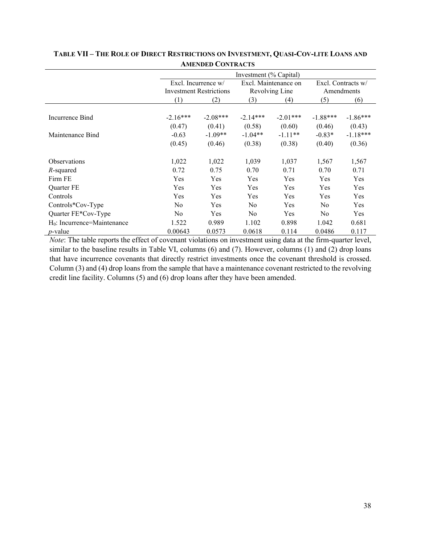|                                |                |                                | Investment (% Capital) |                      |                |                    |
|--------------------------------|----------------|--------------------------------|------------------------|----------------------|----------------|--------------------|
|                                |                | Excl. Incurrence $w/$          |                        | Excl. Maintenance on |                | Excl. Contracts w/ |
|                                |                | <b>Investment Restrictions</b> |                        | Revolving Line       |                | Amendments         |
|                                | (1)            | (2)                            | (3)                    | (4)                  | (5)            | (6)                |
|                                |                |                                |                        |                      |                |                    |
| Incurrence Bind                | $-2.16***$     | $-2.08***$                     | $-2.14***$             | $-2.01***$           | $-1.88***$     | $-1.86***$         |
|                                | (0.47)         | (0.41)                         | (0.58)                 | (0.60)               | (0.46)         | (0.43)             |
| Maintenance Bind               | $-0.63$        | $-1.09**$                      | $-1.04**$              | $-1.11**$            | $-0.83*$       | $-1.18***$         |
|                                | (0.45)         | (0.46)                         | (0.38)                 | (0.38)               | (0.40)         | (0.36)             |
| Observations                   | 1,022          | 1,022                          | 1,039                  | 1,037                | 1,567          | 1,567              |
| $R$ -squared                   | 0.72           | 0.75                           | 0.70                   | 0.71                 | 0.70           | 0.71               |
| Firm FE                        | Yes            | Yes                            | Yes                    | Yes                  | Yes            | <b>Yes</b>         |
| <b>Ouarter FE</b>              | Yes            | Yes                            | Yes                    | Yes                  | Yes            | <b>Yes</b>         |
| Controls                       | Yes            | Yes                            | Yes                    | Yes                  | Yes            | <b>Yes</b>         |
| Controls*Cov-Type              | N <sub>o</sub> | Yes                            | N <sub>0</sub>         | Yes                  | N <sub>0</sub> | <b>Yes</b>         |
| Quarter FE*Cov-Type            | N <sub>0</sub> | Yes                            | N <sub>o</sub>         | Yes                  | N <sub>0</sub> | Yes.               |
| $H_0$ : Incurrence=Maintenance | 1.522          | 0.989                          | 1.102                  | 0.898                | 1.042          | 0.681              |
| <i>p</i> -value                | 0.00643        | 0.0573                         | 0.0618                 | 0.114                | 0.0486         | 0.117              |

# **TABLE VII – THE ROLE OF DIRECT RESTRICTIONS ON INVESTMENT, QUASI-COV-LITE LOANS AND AMENDED CONTRACTS**

*Note*: The table reports the effect of covenant violations on investment using data at the firm-quarter level, similar to the baseline results in Table VI, columns (6) and (7). However, columns (1) and (2) drop loans that have incurrence covenants that directly restrict investments once the covenant threshold is crossed. Column (3) and (4) drop loans from the sample that have a maintenance covenant restricted to the revolving credit line facility. Columns (5) and (6) drop loans after they have been amended.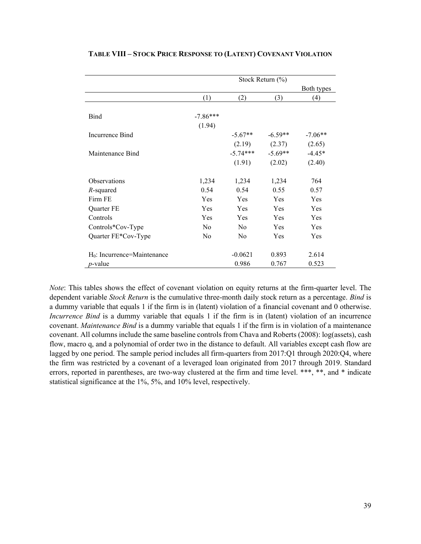|                                |                |                | Stock Return (%) |            |
|--------------------------------|----------------|----------------|------------------|------------|
|                                |                |                |                  | Both types |
|                                | (1)            | (2)            | (3)              | (4)        |
|                                |                |                |                  |            |
| Bind                           | $-7.86***$     |                |                  |            |
|                                | (1.94)         |                |                  |            |
| Incurrence Bind                |                | $-5.67**$      | $-6.59**$        | $-7.06**$  |
|                                |                | (2.19)         | (2.37)           | (2.65)     |
| Maintenance Bind               |                | $-5.74***$     | $-5.69**$        | $-4.45*$   |
|                                |                | (1.91)         | (2.02)           | (2.40)     |
| Observations                   | 1,234          | 1,234          | 1,234            | 764        |
| $R$ -squared                   | 0.54           | 0.54           | 0.55             | 0.57       |
| Firm FE                        | Yes            | Yes            | Yes              | Yes        |
| Quarter FE                     | Yes            | Yes            | Yes              | Yes        |
| Controls                       | Yes            | Yes            | Yes              | Yes        |
| Controls*Cov-Type              | No             | N <sub>0</sub> | Yes              | Yes        |
| Quarter FE*Cov-Type            | N <sub>0</sub> | N <sub>0</sub> | Yes              | Yes        |
| $H_0$ : Incurrence=Maintenance |                | $-0.0621$      | 0.893            | 2.614      |
| <i>p</i> -value                |                | 0.986          | 0.767            | 0.523      |

#### **TABLE VIII – STOCK PRICE RESPONSE TO (LATENT) COVENANT VIOLATION**

*Note*: This tables shows the effect of covenant violation on equity returns at the firm-quarter level. The dependent variable *Stock Return* is the cumulative three-month daily stock return as a percentage. *Bind* is a dummy variable that equals 1 if the firm is in (latent) violation of a financial covenant and 0 otherwise. *Incurrence Bind* is a dummy variable that equals 1 if the firm is in (latent) violation of an incurrence covenant. *Maintenance Bind* is a dummy variable that equals 1 if the firm is in violation of a maintenance covenant. All columns include the same baseline controls from Chava and Roberts (2008): log(assets), cash flow, macro q, and a polynomial of order two in the distance to default. All variables except cash flow are lagged by one period. The sample period includes all firm-quarters from 2017:Q1 through 2020:Q4, where the firm was restricted by a covenant of a leveraged loan originated from 2017 through 2019. Standard errors, reported in parentheses, are two-way clustered at the firm and time level. \*\*\*, \*\*, and \* indicate statistical significance at the 1%, 5%, and 10% level, respectively.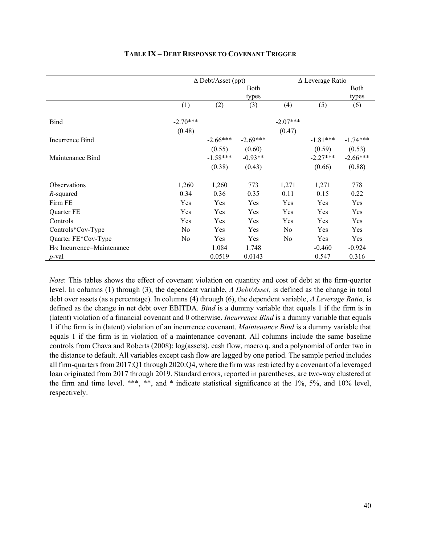|                                |                      | $\Delta$ Debt/Asset (ppt) |            |                      | $\Delta$ Leverage Ratio |            |
|--------------------------------|----------------------|---------------------------|------------|----------------------|-------------------------|------------|
|                                |                      |                           | Both       |                      |                         | Both       |
|                                |                      |                           | types      |                      |                         | types      |
|                                | (1)                  | (2)                       | (3)        | (4)                  | (5)                     | (6)        |
| Bind                           | $-2.70***$<br>(0.48) |                           |            | $-2.07***$<br>(0.47) |                         |            |
| Incurrence Bind                |                      | $-2.66***$                | $-2.69***$ |                      | $-1.81***$              | $-1.74***$ |
|                                |                      | (0.55)                    | (0.60)     |                      | (0.59)                  | (0.53)     |
| Maintenance Bind               |                      | $-1.58***$                | $-0.93**$  |                      | $-2.27***$              | $-2.66***$ |
|                                |                      | (0.38)                    | (0.43)     |                      | (0.66)                  | (0.88)     |
| Observations                   | 1,260                | 1,260                     | 773        | 1,271                | 1,271                   | 778        |
| $R$ -squared                   | 0.34                 | 0.36                      | 0.35       | 0.11                 | 0.15                    | 0.22       |
| Firm FE                        | Yes                  | Yes                       | Yes        | Yes                  | Yes                     | Yes        |
| Quarter FE                     | Yes                  | Yes                       | Yes        | Yes                  | Yes                     | Yes        |
| Controls                       | Yes                  | Yes                       | Yes        | Yes                  | Yes                     | Yes        |
| Controls*Cov-Type              | N <sub>0</sub>       | Yes                       | Yes        | No                   | Yes                     | Yes        |
| Quarter FE*Cov-Type            | No                   | Yes                       | Yes        | No                   | Yes                     | Yes        |
| $H_0$ : Incurrence=Maintenance |                      | 1.084                     | 1.748      |                      | $-0.460$                | $-0.924$   |
| <i>p</i> -val                  |                      | 0.0519                    | 0.0143     |                      | 0.547                   | 0.316      |

#### **TABLE IX – DEBT RESPONSE TO COVENANT TRIGGER**

*Note*: This tables shows the effect of covenant violation on quantity and cost of debt at the firm-quarter level. In columns (1) through (3), the dependent variable, *Δ Debt/Asset,* is defined as the change in total debt over assets (as a percentage). In columns (4) through (6), the dependent variable, *Δ Leverage Ratio,* is defined as the change in net debt over EBITDA. *Bind* is a dummy variable that equals 1 if the firm is in (latent) violation of a financial covenant and 0 otherwise. *Incurrence Bind* is a dummy variable that equals 1 if the firm is in (latent) violation of an incurrence covenant. *Maintenance Bind* is a dummy variable that equals 1 if the firm is in violation of a maintenance covenant. All columns include the same baseline controls from Chava and Roberts (2008): log(assets), cash flow, macro q, and a polynomial of order two in the distance to default. All variables except cash flow are lagged by one period. The sample period includes all firm-quarters from 2017:Q1 through 2020:Q4, where the firm was restricted by a covenant of a leveraged loan originated from 2017 through 2019. Standard errors, reported in parentheses, are two-way clustered at the firm and time level. \*\*\*, \*\*, and \* indicate statistical significance at the 1%, 5%, and 10% level, respectively.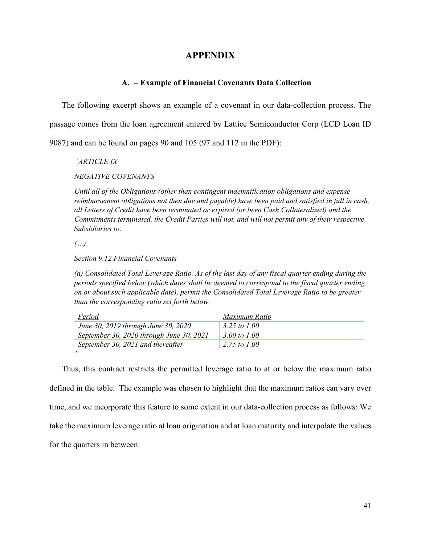# **APPENDIX**

#### **A. – Example of Financial Covenants Data Collection**

The following excerpt shows an example of a covenant in our data-collection process. The

passage comes from the loan agreement entered by Lattice Semiconductor Corp (LCD Loan ID

9087) and can be found on pages 90 and 105 (97 and 112 in the PDF):

*"ARTICLE IX* 

*NEGATIVE COVENANTS*

*Until all of the Obligations (other than contingent indemnification obligations and expense reimbursement obligations not then due and payable) have been paid and satisfied in full in cash, all Letters of Credit have been terminated or expired (or been Cash Collateralized) and the Commitments terminated, the Credit Parties will not, and will not permit any of their respective Subsidiaries to:* 

*(…)*

*Section 9.12 Financial Covenants* 

*(a) Consolidated Total Leverage Ratio. As of the last day of any fiscal quarter ending during the periods specified below (which dates shall be deemed to correspond to the fiscal quarter ending on or about such applicable date), permit the Consolidated Total Leverage Ratio to be greater than the corresponding ratio set forth below:* 

| <b>Period</b>                            | Maximum Ratio |
|------------------------------------------|---------------|
| June 30, 2019 through June 30, 2020      | 3.25 to 1.00  |
| September 30, 2020 through June 30, 2021 | 3.00 to 1.00  |
| September 30, 2021 and thereafter        | 2.75 to 1.00  |
| ,,,                                      |               |

Thus, this contract restricts the permitted leverage ratio to at or below the maximum ratio defined in the table. The example was chosen to highlight that the maximum ratios can vary over time, and we incorporate this feature to some extent in our data-collection process as follows: We take the maximum leverage ratio at loan origination and at loan maturity and interpolate the values for the quarters in between.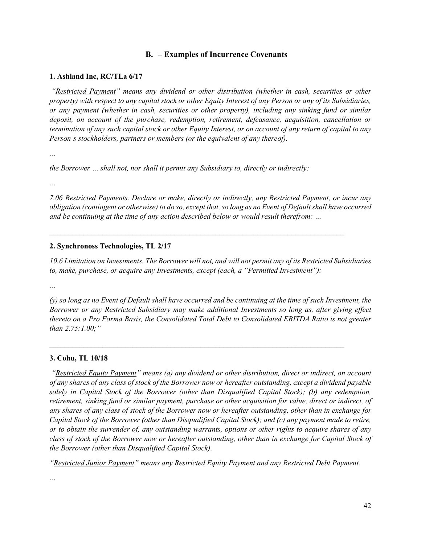# **B. – Examples of Incurrence Covenants**

#### **1. Ashland Inc, RC/TLa 6/17**

*"Restricted Payment" means any dividend or other distribution (whether in cash, securities or other property) with respect to any capital stock or other Equity Interest of any Person or any of its Subsidiaries, or any payment (whether in cash, securities or other property), including any sinking fund or similar deposit, on account of the purchase, redemption, retirement, defeasance, acquisition, cancellation or termination of any such capital stock or other Equity Interest, or on account of any return of capital to any Person's stockholders, partners or members (or the equivalent of any thereof).*

*…* 

*the Borrower ... shall not, nor shall it permit any Subsidiary to, directly or indirectly:* 

*…* 

*7.06 Restricted Payments. Declare or make, directly or indirectly, any Restricted Payment, or incur any obligation (contingent or otherwise) to do so, except that, so long as no Event of Default shall have occurred and be continuing at the time of any action described below or would result therefrom: …* 

 $\mathcal{L}_\text{max}$  , and the contribution of the contribution of the contribution of the contribution of the contribution of the contribution of the contribution of the contribution of the contribution of the contribution of t

#### **2. Synchronoss Technologies, TL 2/17**

*10.6 Limitation on Investments. The Borrower will not, and will not permit any of its Restricted Subsidiaries to, make, purchase, or acquire any Investments, except (each, a "Permitted Investment"):* 

*…* 

*(y) so long as no Event of Default shall have occurred and be continuing at the time of such Investment, the Borrower or any Restricted Subsidiary may make additional Investments so long as, after giving effect thereto on a Pro Forma Basis, the Consolidated Total Debt to Consolidated EBITDA Ratio is not greater than 2.75:1.00;"* 

 $\mathcal{L}_\text{max}$  , and the contribution of the contribution of the contribution of the contribution of the contribution of the contribution of the contribution of the contribution of the contribution of the contribution of t

#### **3. Cohu, TL 10/18**

 *"Restricted Equity Payment" means (a) any dividend or other distribution, direct or indirect, on account of any shares of any class of stock of the Borrower now or hereafter outstanding, except a dividend payable solely in Capital Stock of the Borrower (other than Disqualified Capital Stock); (b) any redemption, retirement, sinking fund or similar payment, purchase or other acquisition for value, direct or indirect, of any shares of any class of stock of the Borrower now or hereafter outstanding, other than in exchange for Capital Stock of the Borrower (other than Disqualified Capital Stock); and (c) any payment made to retire, or to obtain the surrender of, any outstanding warrants, options or other rights to acquire shares of any class of stock of the Borrower now or hereafter outstanding, other than in exchange for Capital Stock of the Borrower (other than Disqualified Capital Stock).* 

*"Restricted Junior Payment" means any Restricted Equity Payment and any Restricted Debt Payment.*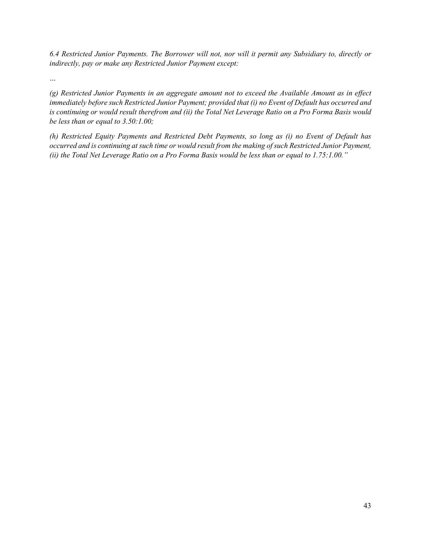*6.4 Restricted Junior Payments. The Borrower will not, nor will it permit any Subsidiary to, directly or indirectly, pay or make any Restricted Junior Payment except:*

*…*

*(g) Restricted Junior Payments in an aggregate amount not to exceed the Available Amount as in effect immediately before such Restricted Junior Payment; provided that (i) no Event of Default has occurred and is continuing or would result therefrom and (ii) the Total Net Leverage Ratio on a Pro Forma Basis would be less than or equal to 3.50:1.00;*

*(h) Restricted Equity Payments and Restricted Debt Payments, so long as (i) no Event of Default has occurred and is continuing at such time or would result from the making of such Restricted Junior Payment, (ii) the Total Net Leverage Ratio on a Pro Forma Basis would be less than or equal to 1.75:1.00."*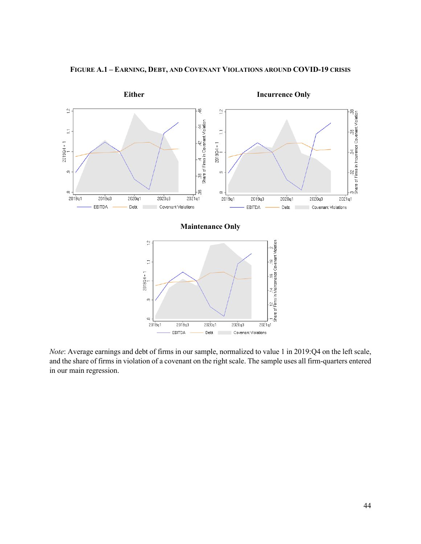

**FIGURE A.1 – EARNING, DEBT, AND COVENANT VIOLATIONS AROUND COVID-19 CRISIS**

*Note*: Average earnings and debt of firms in our sample, normalized to value 1 in 2019:Q4 on the left scale, and the share of firms in violation of a covenant on the right scale. The sample uses all firm-quarters entered in our main regression.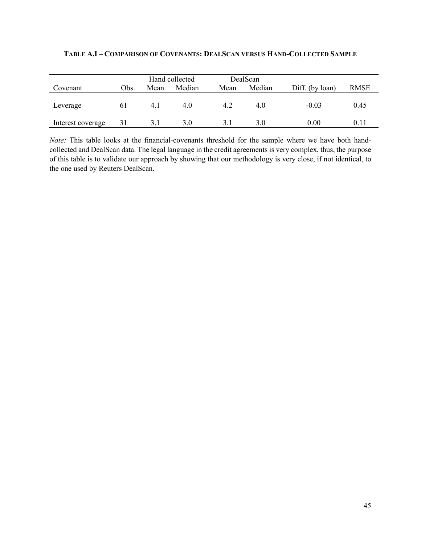|                   |      |      | Hand collected | DealScan |        |                 |             |
|-------------------|------|------|----------------|----------|--------|-----------------|-------------|
| Covenant          | Obs. | Mean | Median         | Mean     | Median | Diff. (by loan) | <b>RMSE</b> |
| Leverage          | 61   | 4.1  | 4.0            | 4.2      | 4.0    | $-0.03$         | 0.45        |
| Interest coverage |      |      | 3.0            | 3.1      | 3.0    | 0.00            | 0.11        |

## **TABLE A.I – COMPARISON OF COVENANTS: DEALSCAN VERSUS HAND-COLLECTED SAMPLE**

*Note:* This table looks at the financial-covenants threshold for the sample where we have both handcollected and DealScan data. The legal language in the credit agreements is very complex, thus, the purpose of this table is to validate our approach by showing that our methodology is very close, if not identical, to the one used by Reuters DealScan.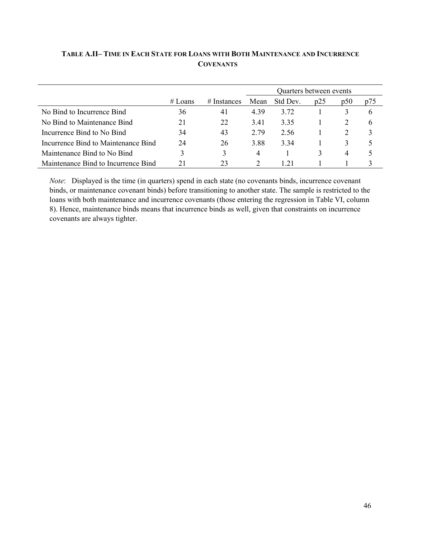# **TABLE A.II– TIME IN EACH STATE FOR LOANS WITH BOTH MAINTENANCE AND INCURRENCE COVENANTS**

|                                     |         |                | Quarters between events |          |     |     |     |
|-------------------------------------|---------|----------------|-------------------------|----------|-----|-----|-----|
|                                     | # Loans | $\#$ Instances | Mean                    | Std Dev. | p25 | p50 | p75 |
| No Bind to Incurrence Bind          | 36      | 41             | 4.39                    | 3.72     |     |     | h   |
| No Bind to Maintenance Bind         | 21      | 22             | 3.41                    | 3.35     |     |     | 6   |
| Incurrence Bind to No Bind          | 34      | 43             | 2.79                    | 2.56     |     |     |     |
| Incurrence Bind to Maintenance Bind | 24      | 26             | 3.88                    | 3.34     |     |     |     |
| Maintenance Bind to No Bind         |         | 3              | 4                       |          |     | 4   |     |
| Maintenance Bind to Incurrence Bind |         | 23             |                         | 1.21     |     |     |     |

*Note*: Displayed is the time (in quarters) spend in each state (no covenants binds, incurrence covenant binds, or maintenance covenant binds) before transitioning to another state. The sample is restricted to the loans with both maintenance and incurrence covenants (those entering the regression in Table VI, column 8). Hence, maintenance binds means that incurrence binds as well, given that constraints on incurrence covenants are always tighter.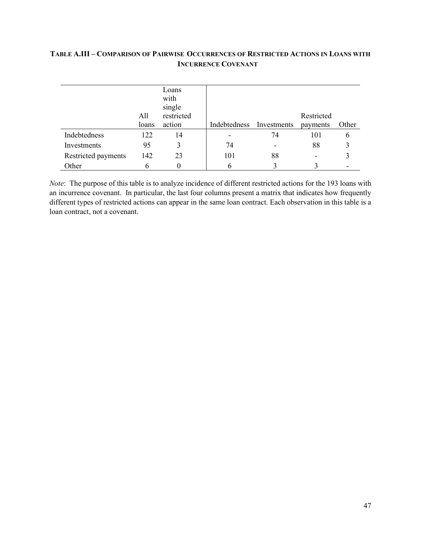# **TABLE A.III – COMPARISON OF PAIRWISE OCCURRENCES OF RESTRICTED ACTIONS IN LOANS WITH INCURRENCE COVENANT**

|                     | All   | Loans<br>with<br>single<br>restricted |                          |    | Restricted |       |
|---------------------|-------|---------------------------------------|--------------------------|----|------------|-------|
|                     | loans | action                                | Indebtedness Investments |    | payments   | Other |
| Indebtedness        | 122   | 14                                    |                          | 74 | 101        | 6     |
| Investments         | 95    | 3                                     | 74                       |    | 88         |       |
| Restricted payments | 142   | 23                                    | 101                      | 88 |            |       |
| Other               |       |                                       | O                        |    |            |       |

*Note*: The purpose of this table is to analyze incidence of different restricted actions for the 193 loans with an incurrence covenant. In particular, the last four columns present a matrix that indicates how frequently different types of restricted actions can appear in the same loan contract. Each observation in this table is a loan contract, not a covenant.